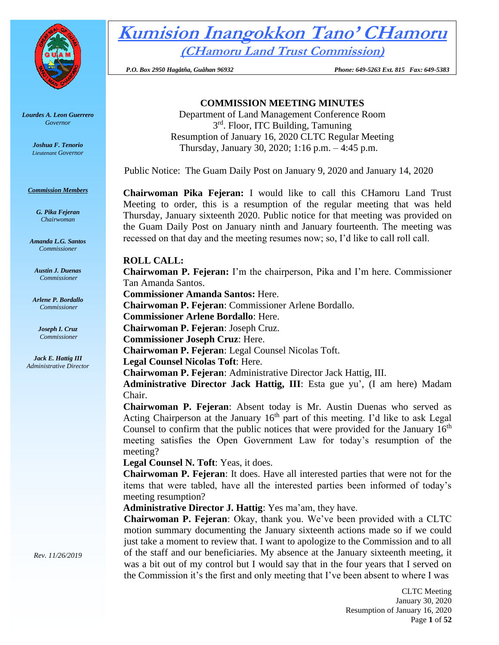

*Lourdes A. Leon Guerrero Governor* 

> *Joshua F. Tenorio Lieutenant Governor*

#### *Commission Members*

*G. Pika Fejeran Chairwoman*

*Amanda L.G. Santos Commissioner*

*Austin J. Duenas Commissioner*

*Arlene P. Bordallo Commissioner*

*Joseph I. Cruz Commissioner*

*Jack E. Hattig III Administrative Director* **Kumision Inangokkon Tano' CHamoru (CHamoru Land Trust Commission)**

 *P.O. Box 2950 Hagåtña, Guåhan 96932 Phone: 649-5263 Ext. 815 Fax: 649-5383*

# **COMMISSION MEETING MINUTES**

Department of Land Management Conference Room 3rd. Floor, ITC Building, Tamuning Resumption of January 16, 2020 CLTC Regular Meeting Thursday, January 30, 2020; 1:16 p.m. – 4:45 p.m.

Public Notice: The Guam Daily Post on January 9, 2020 and January 14, 2020

**Chairwoman Pika Fejeran:** I would like to call this CHamoru Land Trust Meeting to order, this is a resumption of the regular meeting that was held Thursday, January sixteenth 2020. Public notice for that meeting was provided on the Guam Daily Post on January ninth and January fourteenth. The meeting was recessed on that day and the meeting resumes now; so, I'd like to call roll call.

# **ROLL CALL:**

**Chairwoman P. Fejeran:** I'm the chairperson, Pika and I'm here. Commissioner Tan Amanda Santos.

**Commissioner Amanda Santos:** Here.

**Chairwoman P. Fejeran**: Commissioner Arlene Bordallo.

**Commissioner Arlene Bordallo**: Here.

**Chairwoman P. Fejeran**: Joseph Cruz.

**Commissioner Joseph Cruz**: Here.

**Chairwoman P. Fejeran**: Legal Counsel Nicolas Toft.

**Legal Counsel Nicolas Toft**: Here.

**Chairwoman P. Fejeran**: Administrative Director Jack Hattig, III.

**Administrative Director Jack Hattig, III**: Esta gue yu', (I am here) Madam Chair.

**Chairwoman P. Fejeran**: Absent today is Mr. Austin Duenas who served as Acting Chairperson at the January  $16<sup>th</sup>$  part of this meeting. I'd like to ask Legal Counsel to confirm that the public notices that were provided for the January  $16<sup>th</sup>$ meeting satisfies the Open Government Law for today's resumption of the meeting?

**Legal Counsel N. Toft**: Yeas, it does.

**Chairwoman P. Fejeran**: It does. Have all interested parties that were not for the items that were tabled, have all the interested parties been informed of today's meeting resumption?

**Administrative Director J. Hattig**: Yes ma'am, they have.

**Chairwoman P. Fejeran**: Okay, thank you. We've been provided with a CLTC motion summary documenting the January sixteenth actions made so if we could just take a moment to review that. I want to apologize to the Commission and to all of the staff and our beneficiaries. My absence at the January sixteenth meeting, it was a bit out of my control but I would say that in the four years that I served on the Commission it's the first and only meeting that I've been absent to where I was

*Rev. 11/26/2019*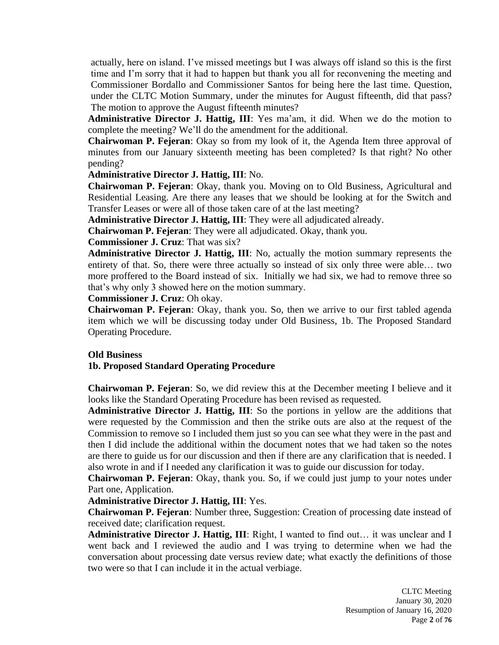actually, here on island. I've missed meetings but I was always off island so this is the first time and I'm sorry that it had to happen but thank you all for reconvening the meeting and Commissioner Bordallo and Commissioner Santos for being here the last time. Question, under the CLTC Motion Summary, under the minutes for August fifteenth, did that pass? The motion to approve the August fifteenth minutes?

**Administrative Director J. Hattig, III**: Yes ma'am, it did. When we do the motion to complete the meeting? We'll do the amendment for the additional.

**Chairwoman P. Fejeran**: Okay so from my look of it, the Agenda Item three approval of minutes from our January sixteenth meeting has been completed? Is that right? No other pending?

# **Administrative Director J. Hattig, III**: No.

**Chairwoman P. Fejeran**: Okay, thank you. Moving on to Old Business, Agricultural and Residential Leasing. Are there any leases that we should be looking at for the Switch and Transfer Leases or were all of those taken care of at the last meeting?

**Administrative Director J. Hattig, III**: They were all adjudicated already.

**Chairwoman P. Fejeran**: They were all adjudicated. Okay, thank you.

#### **Commissioner J. Cruz**: That was six?

**Administrative Director J. Hattig, III**: No, actually the motion summary represents the entirety of that. So, there were three actually so instead of six only three were able… two more proffered to the Board instead of six. Initially we had six, we had to remove three so that's why only 3 showed here on the motion summary.

**Commissioner J. Cruz**: Oh okay.

**Chairwoman P. Fejeran**: Okay, thank you. So, then we arrive to our first tabled agenda item which we will be discussing today under Old Business, 1b. The Proposed Standard Operating Procedure.

# **Old Business**

# **1b. Proposed Standard Operating Procedure**

**Chairwoman P. Fejeran**: So, we did review this at the December meeting I believe and it looks like the Standard Operating Procedure has been revised as requested.

**Administrative Director J. Hattig, III**: So the portions in yellow are the additions that were requested by the Commission and then the strike outs are also at the request of the Commission to remove so I included them just so you can see what they were in the past and then I did include the additional within the document notes that we had taken so the notes are there to guide us for our discussion and then if there are any clarification that is needed. I also wrote in and if I needed any clarification it was to guide our discussion for today.

**Chairwoman P. Fejeran**: Okay, thank you. So, if we could just jump to your notes under Part one, Application.

# **Administrative Director J. Hattig, III**: Yes.

**Chairwoman P. Fejeran**: Number three, Suggestion: Creation of processing date instead of received date; clarification request.

**Administrative Director J. Hattig, III**: Right, I wanted to find out… it was unclear and I went back and I reviewed the audio and I was trying to determine when we had the conversation about processing date versus review date; what exactly the definitions of those two were so that I can include it in the actual verbiage.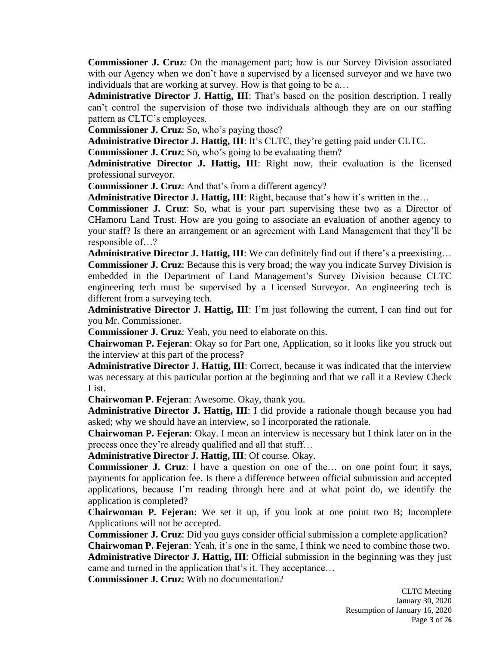**Commissioner J. Cruz**: On the management part; how is our Survey Division associated with our Agency when we don't have a supervised by a licensed surveyor and we have two individuals that are working at survey. How is that going to be a...

**Administrative Director J. Hattig, III**: That's based on the position description. I really can't control the supervision of those two individuals although they are on our staffing pattern as CLTC's employees.

**Commissioner J. Cruz**: So, who's paying those?

**Administrative Director J. Hattig, III**: It's CLTC, they're getting paid under CLTC.

**Commissioner J. Cruz**: So, who's going to be evaluating them?

**Administrative Director J. Hattig, III**: Right now, their evaluation is the licensed professional surveyor.

**Commissioner J. Cruz**: And that's from a different agency?

Administrative Director J. Hattig, III: Right, because that's how it's written in the...

**Commissioner J. Cruz**: So, what is your part supervising these two as a Director of CHamoru Land Trust. How are you going to associate an evaluation of another agency to your staff? Is there an arrangement or an agreement with Land Management that they'll be responsible of…?

Administrative Director J. Hattig, III: We can definitely find out if there's a preexisting... **Commissioner J. Cruz**: Because this is very broad; the way you indicate Survey Division is embedded in the Department of Land Management's Survey Division because CLTC engineering tech must be supervised by a Licensed Surveyor. An engineering tech is different from a surveying tech.

**Administrative Director J. Hattig, III**: I'm just following the current, I can find out for you Mr. Commissioner.

**Commissioner J. Cruz**: Yeah, you need to elaborate on this.

**Chairwoman P. Fejeran**: Okay so for Part one, Application, so it looks like you struck out the interview at this part of the process?

**Administrative Director J. Hattig, III**: Correct, because it was indicated that the interview was necessary at this particular portion at the beginning and that we call it a Review Check List.

**Chairwoman P. Fejeran**: Awesome. Okay, thank you.

**Administrative Director J. Hattig, III**: I did provide a rationale though because you had asked; why we should have an interview, so I incorporated the rationale.

**Chairwoman P. Fejeran**: Okay. I mean an interview is necessary but I think later on in the process once they're already qualified and all that stuff…

**Administrative Director J. Hattig, III**: Of course. Okay.

**Commissioner J. Cruz**: I have a question on one of the… on one point four; it says, payments for application fee. Is there a difference between official submission and accepted applications, because I'm reading through here and at what point do, we identify the application is completed?

**Chairwoman P. Fejeran**: We set it up, if you look at one point two B; Incomplete Applications will not be accepted.

**Commissioner J. Cruz**: Did you guys consider official submission a complete application?

**Chairwoman P. Fejeran**: Yeah, it's one in the same, I think we need to combine those two. **Administrative Director J. Hattig, III**: Official submission in the beginning was they just

came and turned in the application that's it. They acceptance…

**Commissioner J. Cruz**: With no documentation?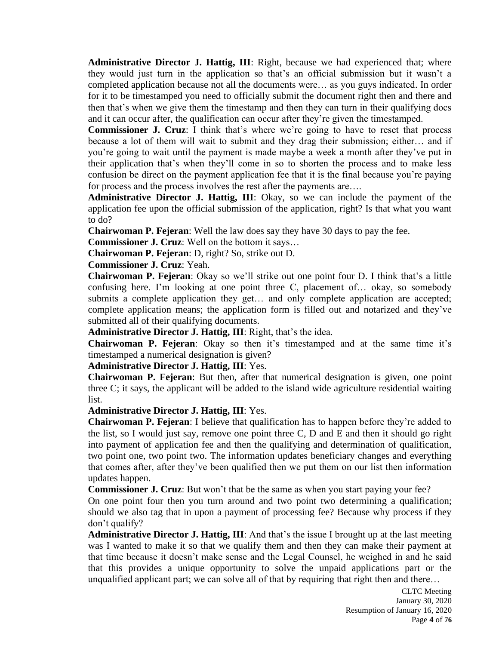**Administrative Director J. Hattig, III**: Right, because we had experienced that; where they would just turn in the application so that's an official submission but it wasn't a completed application because not all the documents were… as you guys indicated. In order for it to be timestamped you need to officially submit the document right then and there and then that's when we give them the timestamp and then they can turn in their qualifying docs and it can occur after, the qualification can occur after they're given the timestamped.

**Commissioner J. Cruz**: I think that's where we're going to have to reset that process because a lot of them will wait to submit and they drag their submission; either… and if you're going to wait until the payment is made maybe a week a month after they've put in their application that's when they'll come in so to shorten the process and to make less confusion be direct on the payment application fee that it is the final because you're paying for process and the process involves the rest after the payments are....

**Administrative Director J. Hattig, III**: Okay, so we can include the payment of the application fee upon the official submission of the application, right? Is that what you want to do?

**Chairwoman P. Fejeran**: Well the law does say they have 30 days to pay the fee.

**Commissioner J. Cruz**: Well on the bottom it says…

**Chairwoman P. Fejeran**: D, right? So, strike out D.

**Commissioner J. Cruz**: Yeah.

**Chairwoman P. Fejeran**: Okay so we'll strike out one point four D. I think that's a little confusing here. I'm looking at one point three C, placement of… okay, so somebody submits a complete application they get… and only complete application are accepted; complete application means; the application form is filled out and notarized and they've submitted all of their qualifying documents.

**Administrative Director J. Hattig, III**: Right, that's the idea.

**Chairwoman P. Fejeran**: Okay so then it's timestamped and at the same time it's timestamped a numerical designation is given?

**Administrative Director J. Hattig, III**: Yes.

**Chairwoman P. Fejeran**: But then, after that numerical designation is given, one point three C; it says, the applicant will be added to the island wide agriculture residential waiting list.

**Administrative Director J. Hattig, III**: Yes.

**Chairwoman P. Fejeran**: I believe that qualification has to happen before they're added to the list, so I would just say, remove one point three C, D and E and then it should go right into payment of application fee and then the qualifying and determination of qualification, two point one, two point two. The information updates beneficiary changes and everything that comes after, after they've been qualified then we put them on our list then information updates happen.

**Commissioner J. Cruz**: But won't that be the same as when you start paying your fee?

On one point four then you turn around and two point two determining a qualification; should we also tag that in upon a payment of processing fee? Because why process if they don't qualify?

**Administrative Director J. Hattig, III**: And that's the issue I brought up at the last meeting was I wanted to make it so that we qualify them and then they can make their payment at that time because it doesn't make sense and the Legal Counsel, he weighed in and he said that this provides a unique opportunity to solve the unpaid applications part or the unqualified applicant part; we can solve all of that by requiring that right then and there…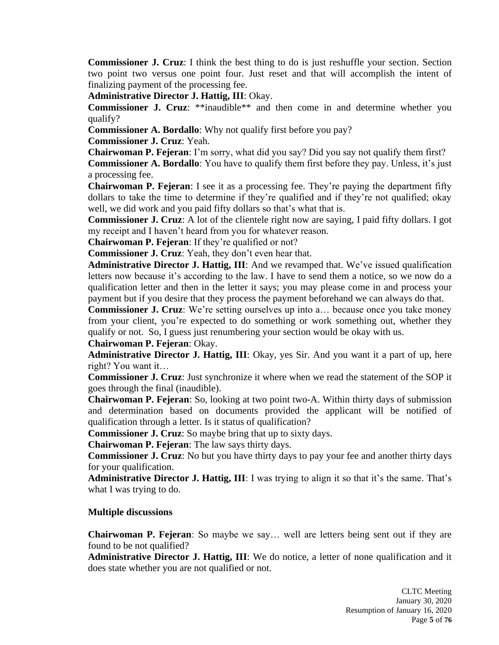**Commissioner J. Cruz**: I think the best thing to do is just reshuffle your section. Section two point two versus one point four. Just reset and that will accomplish the intent of finalizing payment of the processing fee.

**Administrative Director J. Hattig, III**: Okay.

**Commissioner J. Cruz**: \*\*inaudible\*\* and then come in and determine whether you qualify?

**Commissioner A. Bordallo**: Why not qualify first before you pay?

**Commissioner J. Cruz**: Yeah.

**Chairwoman P. Fejeran**: I'm sorry, what did you say? Did you say not qualify them first? **Commissioner A. Bordallo**: You have to qualify them first before they pay. Unless, it's just a processing fee.

**Chairwoman P. Fejeran**: I see it as a processing fee. They're paying the department fifty dollars to take the time to determine if they're qualified and if they're not qualified; okay well, we did work and you paid fifty dollars so that's what that is.

**Commissioner J. Cruz**: A lot of the clientele right now are saying, I paid fifty dollars. I got my receipt and I haven't heard from you for whatever reason.

**Chairwoman P. Fejeran**: If they're qualified or not?

**Commissioner J. Cruz**: Yeah, they don't even hear that.

**Administrative Director J. Hattig, III**: And we revamped that. We've issued qualification letters now because it's according to the law. I have to send them a notice, so we now do a qualification letter and then in the letter it says; you may please come in and process your payment but if you desire that they process the payment beforehand we can always do that.

**Commissioner J. Cruz**: We're setting ourselves up into a... because once you take money from your client, you're expected to do something or work something out, whether they qualify or not. So, I guess just renumbering your section would be okay with us.

**Chairwoman P. Fejeran**: Okay.

**Administrative Director J. Hattig, III**: Okay, yes Sir. And you want it a part of up, here right? You want it…

**Commissioner J. Cruz**: Just synchronize it where when we read the statement of the SOP it goes through the final (inaudible).

**Chairwoman P. Fejeran**: So, looking at two point two-A. Within thirty days of submission and determination based on documents provided the applicant will be notified of qualification through a letter. Is it status of qualification?

**Commissioner J. Cruz**: So maybe bring that up to sixty days.

**Chairwoman P. Fejeran**: The law says thirty days.

**Commissioner J. Cruz**: No but you have thirty days to pay your fee and another thirty days for your qualification.

**Administrative Director J. Hattig, III**: I was trying to align it so that it's the same. That's what I was trying to do.

# **Multiple discussions**

**Chairwoman P. Fejeran**: So maybe we say… well are letters being sent out if they are found to be not qualified?

**Administrative Director J. Hattig, III**: We do notice, a letter of none qualification and it does state whether you are not qualified or not.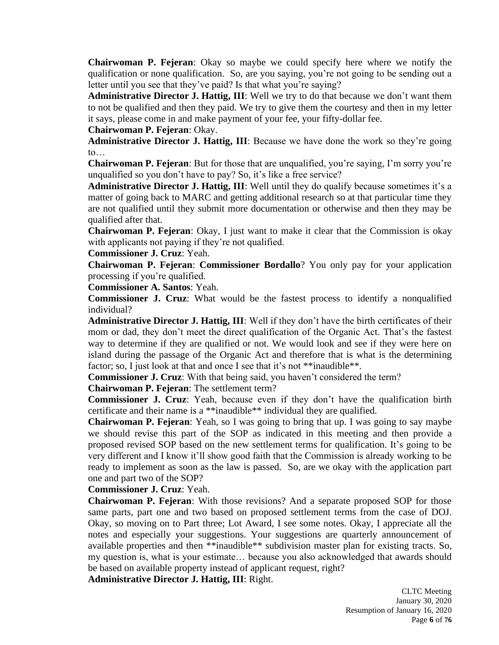**Chairwoman P. Fejeran**: Okay so maybe we could specify here where we notify the qualification or none qualification. So, are you saying, you're not going to be sending out a letter until you see that they've paid? Is that what you're saying?

**Administrative Director J. Hattig, III**: Well we try to do that because we don't want them to not be qualified and then they paid. We try to give them the courtesy and then in my letter it says, please come in and make payment of your fee, your fifty-dollar fee.

**Chairwoman P. Fejeran**: Okay.

**Administrative Director J. Hattig, III**: Because we have done the work so they're going to…

**Chairwoman P. Fejeran**: But for those that are unqualified, you're saying, I'm sorry you're unqualified so you don't have to pay? So, it's like a free service?

**Administrative Director J. Hattig, III**: Well until they do qualify because sometimes it's a matter of going back to MARC and getting additional research so at that particular time they are not qualified until they submit more documentation or otherwise and then they may be qualified after that.

**Chairwoman P. Fejeran**: Okay, I just want to make it clear that the Commission is okay with applicants not paying if they're not qualified.

**Commissioner J. Cruz**: Yeah.

**Chairwoman P. Fejeran**: **Commissioner Bordallo**? You only pay for your application processing if you're qualified.

**Commissioner A. Santos**: Yeah.

**Commissioner J. Cruz**: What would be the fastest process to identify a nonqualified individual?

**Administrative Director J. Hattig, III**: Well if they don't have the birth certificates of their mom or dad, they don't meet the direct qualification of the Organic Act. That's the fastest way to determine if they are qualified or not. We would look and see if they were here on island during the passage of the Organic Act and therefore that is what is the determining factor; so, I just look at that and once I see that it's not \*\*inaudible\*\*.

**Commissioner J. Cruz**: With that being said, you haven't considered the term?

**Chairwoman P. Fejeran**: The settlement term?

**Commissioner J. Cruz**: Yeah, because even if they don't have the qualification birth certificate and their name is a \*\*inaudible\*\* individual they are qualified.

**Chairwoman P. Fejeran**: Yeah, so I was going to bring that up. I was going to say maybe we should revise this part of the SOP as indicated in this meeting and then provide a proposed revised SOP based on the new settlement terms for qualification. It's going to be very different and I know it'll show good faith that the Commission is already working to be ready to implement as soon as the law is passed. So, are we okay with the application part one and part two of the SOP?

**Commissioner J. Cruz**: Yeah.

**Chairwoman P. Fejeran**: With those revisions? And a separate proposed SOP for those same parts, part one and two based on proposed settlement terms from the case of DOJ. Okay, so moving on to Part three; Lot Award, I see some notes. Okay, I appreciate all the notes and especially your suggestions. Your suggestions are quarterly announcement of available properties and then \*\*inaudible\*\* subdivision master plan for existing tracts. So, my question is, what is your estimate… because you also acknowledged that awards should be based on available property instead of applicant request, right?

**Administrative Director J. Hattig, III**: Right.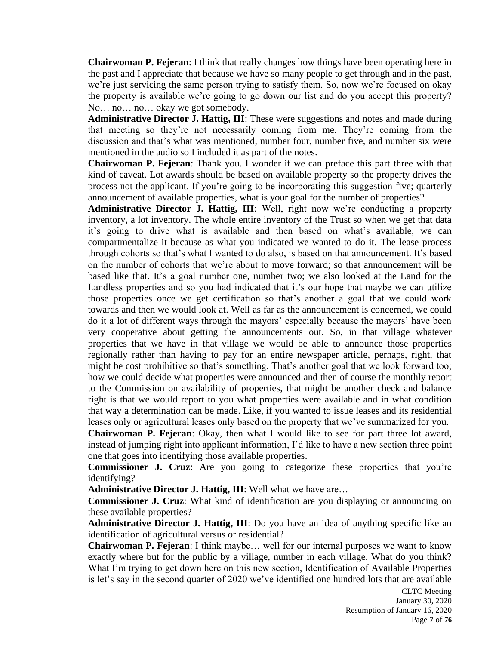**Chairwoman P. Fejeran**: I think that really changes how things have been operating here in the past and I appreciate that because we have so many people to get through and in the past, we're just servicing the same person trying to satisfy them. So, now we're focused on okay the property is available we're going to go down our list and do you accept this property? No… no… no… okay we got somebody.

**Administrative Director J. Hattig, III**: These were suggestions and notes and made during that meeting so they're not necessarily coming from me. They're coming from the discussion and that's what was mentioned, number four, number five, and number six were mentioned in the audio so I included it as part of the notes.

**Chairwoman P. Fejeran**: Thank you. I wonder if we can preface this part three with that kind of caveat. Lot awards should be based on available property so the property drives the process not the applicant. If you're going to be incorporating this suggestion five; quarterly announcement of available properties, what is your goal for the number of properties?

**Administrative Director J. Hattig, III**: Well, right now we're conducting a property inventory, a lot inventory. The whole entire inventory of the Trust so when we get that data it's going to drive what is available and then based on what's available, we can compartmentalize it because as what you indicated we wanted to do it. The lease process through cohorts so that's what I wanted to do also, is based on that announcement. It's based on the number of cohorts that we're about to move forward; so that announcement will be based like that. It's a goal number one, number two; we also looked at the Land for the Landless properties and so you had indicated that it's our hope that maybe we can utilize those properties once we get certification so that's another a goal that we could work towards and then we would look at. Well as far as the announcement is concerned, we could do it a lot of different ways through the mayors' especially because the mayors' have been very cooperative about getting the announcements out. So, in that village whatever properties that we have in that village we would be able to announce those properties regionally rather than having to pay for an entire newspaper article, perhaps, right, that might be cost prohibitive so that's something. That's another goal that we look forward too; how we could decide what properties were announced and then of course the monthly report to the Commission on availability of properties, that might be another check and balance right is that we would report to you what properties were available and in what condition that way a determination can be made. Like, if you wanted to issue leases and its residential leases only or agricultural leases only based on the property that we've summarized for you.

**Chairwoman P. Fejeran**: Okay, then what I would like to see for part three lot award, instead of jumping right into applicant information, I'd like to have a new section three point one that goes into identifying those available properties.

**Commissioner J. Cruz**: Are you going to categorize these properties that you're identifying?

**Administrative Director J. Hattig, III**: Well what we have are…

**Commissioner J. Cruz**: What kind of identification are you displaying or announcing on these available properties?

**Administrative Director J. Hattig, III**: Do you have an idea of anything specific like an identification of agricultural versus or residential?

**Chairwoman P. Fejeran**: I think maybe… well for our internal purposes we want to know exactly where but for the public by a village, number in each village. What do you think? What I'm trying to get down here on this new section, Identification of Available Properties is let's say in the second quarter of 2020 we've identified one hundred lots that are available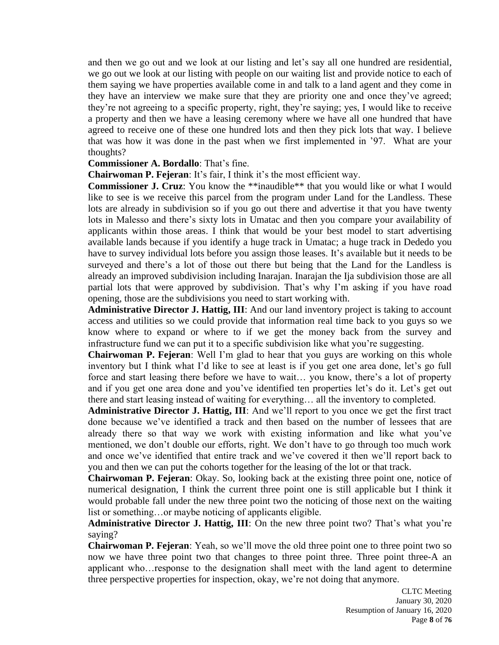and then we go out and we look at our listing and let's say all one hundred are residential, we go out we look at our listing with people on our waiting list and provide notice to each of them saying we have properties available come in and talk to a land agent and they come in they have an interview we make sure that they are priority one and once they've agreed; they're not agreeing to a specific property, right, they're saying; yes, I would like to receive a property and then we have a leasing ceremony where we have all one hundred that have agreed to receive one of these one hundred lots and then they pick lots that way. I believe that was how it was done in the past when we first implemented in '97. What are your thoughts?

# **Commissioner A. Bordallo**: That's fine.

**Chairwoman P. Fejeran**: It's fair, I think it's the most efficient way.

**Commissioner J. Cruz**: You know the \*\*inaudible\*\* that you would like or what I would like to see is we receive this parcel from the program under Land for the Landless. These lots are already in subdivision so if you go out there and advertise it that you have twenty lots in Malesso and there's sixty lots in Umatac and then you compare your availability of applicants within those areas. I think that would be your best model to start advertising available lands because if you identify a huge track in Umatac; a huge track in Dededo you have to survey individual lots before you assign those leases. It's available but it needs to be surveyed and there's a lot of those out there but being that the Land for the Landless is already an improved subdivision including Inarajan. Inarajan the Ija subdivision those are all partial lots that were approved by subdivision. That's why I'm asking if you have road opening, those are the subdivisions you need to start working with.

**Administrative Director J. Hattig, III**: And our land inventory project is taking to account access and utilities so we could provide that information real time back to you guys so we know where to expand or where to if we get the money back from the survey and infrastructure fund we can put it to a specific subdivision like what you're suggesting.

**Chairwoman P. Fejeran**: Well I'm glad to hear that you guys are working on this whole inventory but I think what I'd like to see at least is if you get one area done, let's go full force and start leasing there before we have to wait… you know, there's a lot of property and if you get one area done and you've identified ten properties let's do it. Let's get out there and start leasing instead of waiting for everything… all the inventory to completed.

**Administrative Director J. Hattig, III**: And we'll report to you once we get the first tract done because we've identified a track and then based on the number of lessees that are already there so that way we work with existing information and like what you've mentioned, we don't double our efforts, right. We don't have to go through too much work and once we've identified that entire track and we've covered it then we'll report back to you and then we can put the cohorts together for the leasing of the lot or that track.

**Chairwoman P. Fejeran**: Okay. So, looking back at the existing three point one, notice of numerical designation, I think the current three point one is still applicable but I think it would probable fall under the new three point two the noticing of those next on the waiting list or something…or maybe noticing of applicants eligible.

**Administrative Director J. Hattig, III**: On the new three point two? That's what you're saying?

**Chairwoman P. Fejeran**: Yeah, so we'll move the old three point one to three point two so now we have three point two that changes to three point three. Three point three-A an applicant who…response to the designation shall meet with the land agent to determine three perspective properties for inspection, okay, we're not doing that anymore.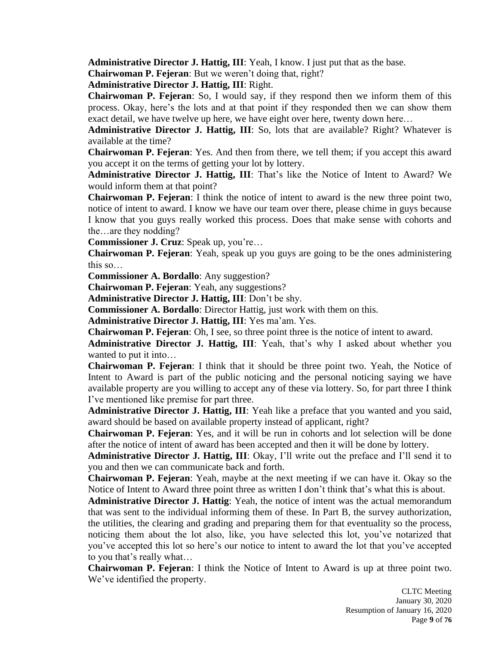**Administrative Director J. Hattig, III**: Yeah, I know. I just put that as the base.

**Chairwoman P. Fejeran**: But we weren't doing that, right?

**Administrative Director J. Hattig, III**: Right.

**Chairwoman P. Fejeran**: So, I would say, if they respond then we inform them of this process. Okay, here's the lots and at that point if they responded then we can show them exact detail, we have twelve up here, we have eight over here, twenty down here…

**Administrative Director J. Hattig, III**: So, lots that are available? Right? Whatever is available at the time?

**Chairwoman P. Fejeran**: Yes. And then from there, we tell them; if you accept this award you accept it on the terms of getting your lot by lottery.

**Administrative Director J. Hattig, III**: That's like the Notice of Intent to Award? We would inform them at that point?

**Chairwoman P. Fejeran**: I think the notice of intent to award is the new three point two, notice of intent to award. I know we have our team over there, please chime in guys because I know that you guys really worked this process. Does that make sense with cohorts and the…are they nodding?

**Commissioner J. Cruz**: Speak up, you're…

**Chairwoman P. Fejeran**: Yeah, speak up you guys are going to be the ones administering this so…

**Commissioner A. Bordallo**: Any suggestion?

**Chairwoman P. Fejeran**: Yeah, any suggestions?

**Administrative Director J. Hattig, III**: Don't be shy.

**Commissioner A. Bordallo**: Director Hattig, just work with them on this.

**Administrative Director J. Hattig, III**: Yes ma'am. Yes.

**Chairwoman P. Fejeran**: Oh, I see, so three point three is the notice of intent to award.

**Administrative Director J. Hattig, III**: Yeah, that's why I asked about whether you wanted to put it into…

**Chairwoman P. Fejeran**: I think that it should be three point two. Yeah, the Notice of Intent to Award is part of the public noticing and the personal noticing saying we have available property are you willing to accept any of these via lottery. So, for part three I think I've mentioned like premise for part three.

**Administrative Director J. Hattig, III**: Yeah like a preface that you wanted and you said, award should be based on available property instead of applicant, right?

**Chairwoman P. Fejeran**: Yes, and it will be run in cohorts and lot selection will be done after the notice of intent of award has been accepted and then it will be done by lottery.

**Administrative Director J. Hattig, III**: Okay, I'll write out the preface and I'll send it to you and then we can communicate back and forth.

**Chairwoman P. Fejeran**: Yeah, maybe at the next meeting if we can have it. Okay so the Notice of Intent to Award three point three as written I don't think that's what this is about.

**Administrative Director J. Hattig**: Yeah, the notice of intent was the actual memorandum that was sent to the individual informing them of these. In Part B, the survey authorization, the utilities, the clearing and grading and preparing them for that eventuality so the process, noticing them about the lot also, like, you have selected this lot, you've notarized that you've accepted this lot so here's our notice to intent to award the lot that you've accepted to you that's really what…

**Chairwoman P. Fejeran**: I think the Notice of Intent to Award is up at three point two. We've identified the property.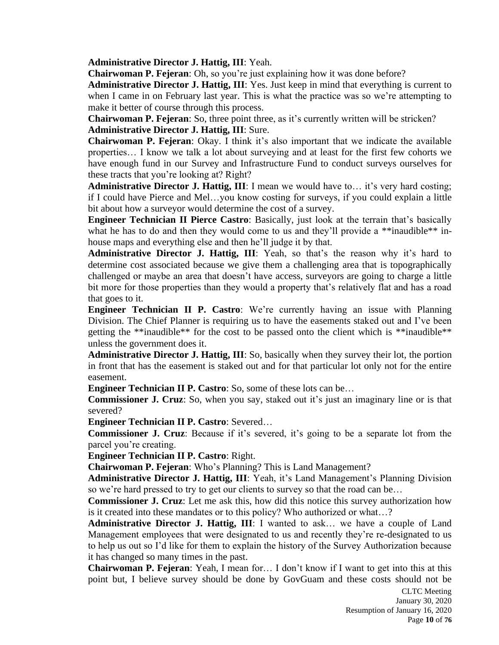**Administrative Director J. Hattig, III**: Yeah.

**Chairwoman P. Fejeran**: Oh, so you're just explaining how it was done before?

**Administrative Director J. Hattig, III**: Yes. Just keep in mind that everything is current to when I came in on February last year. This is what the practice was so we're attempting to make it better of course through this process.

**Chairwoman P. Fejeran**: So, three point three, as it's currently written will be stricken? **Administrative Director J. Hattig, III**: Sure.

**Chairwoman P. Fejeran**: Okay. I think it's also important that we indicate the available properties… I know we talk a lot about surveying and at least for the first few cohorts we have enough fund in our Survey and Infrastructure Fund to conduct surveys ourselves for these tracts that you're looking at? Right?

**Administrative Director J. Hattig, III**: I mean we would have to… it's very hard costing; if I could have Pierce and Mel…you know costing for surveys, if you could explain a little bit about how a surveyor would determine the cost of a survey.

**Engineer Technician II Pierce Castro**: Basically, just look at the terrain that's basically what he has to do and then they would come to us and they'll provide a \*\*inaudible\*\* inhouse maps and everything else and then he'll judge it by that.

**Administrative Director J. Hattig, III**: Yeah, so that's the reason why it's hard to determine cost associated because we give them a challenging area that is topographically challenged or maybe an area that doesn't have access, surveyors are going to charge a little bit more for those properties than they would a property that's relatively flat and has a road that goes to it.

**Engineer Technician II P. Castro**: We're currently having an issue with Planning Division. The Chief Planner is requiring us to have the easements staked out and I've been getting the \*\*inaudible\*\* for the cost to be passed onto the client which is \*\*inaudible\*\* unless the government does it.

**Administrative Director J. Hattig, III**: So, basically when they survey their lot, the portion in front that has the easement is staked out and for that particular lot only not for the entire easement.

**Engineer Technician II P. Castro**: So, some of these lots can be…

**Commissioner J. Cruz**: So, when you say, staked out it's just an imaginary line or is that severed?

**Engineer Technician II P. Castro**: Severed…

**Commissioner J. Cruz**: Because if it's severed, it's going to be a separate lot from the parcel you're creating.

**Engineer Technician II P. Castro**: Right.

**Chairwoman P. Fejeran**: Who's Planning? This is Land Management?

**Administrative Director J. Hattig, III**: Yeah, it's Land Management's Planning Division so we're hard pressed to try to get our clients to survey so that the road can be…

**Commissioner J. Cruz**: Let me ask this, how did this notice this survey authorization how is it created into these mandates or to this policy? Who authorized or what…?

**Administrative Director J. Hattig, III**: I wanted to ask… we have a couple of Land Management employees that were designated to us and recently they're re-designated to us to help us out so I'd like for them to explain the history of the Survey Authorization because it has changed so many times in the past.

**Chairwoman P. Fejeran**: Yeah, I mean for… I don't know if I want to get into this at this point but, I believe survey should be done by GovGuam and these costs should not be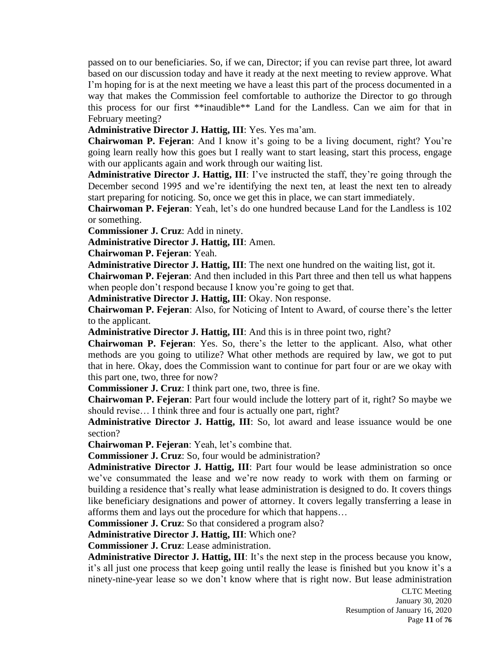passed on to our beneficiaries. So, if we can, Director; if you can revise part three, lot award based on our discussion today and have it ready at the next meeting to review approve. What I'm hoping for is at the next meeting we have a least this part of the process documented in a way that makes the Commission feel comfortable to authorize the Director to go through this process for our first \*\*inaudible\*\* Land for the Landless. Can we aim for that in February meeting?

**Administrative Director J. Hattig, III**: Yes. Yes ma'am.

**Chairwoman P. Fejeran**: And I know it's going to be a living document, right? You're going learn really how this goes but I really want to start leasing, start this process, engage with our applicants again and work through our waiting list.

**Administrative Director J. Hattig, III**: I've instructed the staff, they're going through the December second 1995 and we're identifying the next ten, at least the next ten to already start preparing for noticing. So, once we get this in place, we can start immediately.

**Chairwoman P. Fejeran**: Yeah, let's do one hundred because Land for the Landless is 102 or something.

**Commissioner J. Cruz**: Add in ninety.

**Administrative Director J. Hattig, III**: Amen.

**Chairwoman P. Fejeran**: Yeah.

**Administrative Director J. Hattig, III**: The next one hundred on the waiting list, got it.

**Chairwoman P. Fejeran**: And then included in this Part three and then tell us what happens when people don't respond because I know you're going to get that.

**Administrative Director J. Hattig, III**: Okay. Non response.

**Chairwoman P. Fejeran**: Also, for Noticing of Intent to Award, of course there's the letter to the applicant.

**Administrative Director J. Hattig, III**: And this is in three point two, right?

**Chairwoman P. Fejeran**: Yes. So, there's the letter to the applicant. Also, what other methods are you going to utilize? What other methods are required by law, we got to put that in here. Okay, does the Commission want to continue for part four or are we okay with this part one, two, three for now?

**Commissioner J. Cruz**: I think part one, two, three is fine.

**Chairwoman P. Fejeran**: Part four would include the lottery part of it, right? So maybe we should revise… I think three and four is actually one part, right?

**Administrative Director J. Hattig, III**: So, lot award and lease issuance would be one section?

**Chairwoman P. Fejeran**: Yeah, let's combine that.

**Commissioner J. Cruz**: So, four would be administration?

**Administrative Director J. Hattig, III**: Part four would be lease administration so once we've consummated the lease and we're now ready to work with them on farming or building a residence that's really what lease administration is designed to do. It covers things like beneficiary designations and power of attorney. It covers legally transferring a lease in afforms them and lays out the procedure for which that happens…

**Commissioner J. Cruz**: So that considered a program also?

**Administrative Director J. Hattig, III**: Which one?

**Commissioner J. Cruz**: Lease administration.

**Administrative Director J. Hattig, III**: It's the next step in the process because you know, it's all just one process that keep going until really the lease is finished but you know it's a ninety-nine-year lease so we don't know where that is right now. But lease administration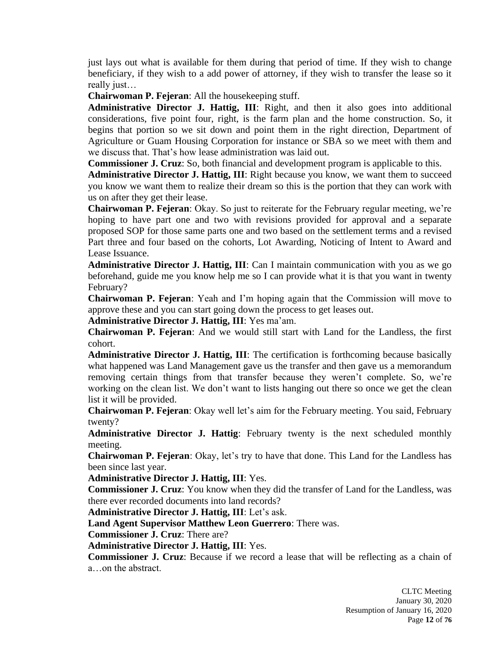just lays out what is available for them during that period of time. If they wish to change beneficiary, if they wish to a add power of attorney, if they wish to transfer the lease so it really just…

**Chairwoman P. Fejeran**: All the housekeeping stuff.

**Administrative Director J. Hattig, III**: Right, and then it also goes into additional considerations, five point four, right, is the farm plan and the home construction. So, it begins that portion so we sit down and point them in the right direction, Department of Agriculture or Guam Housing Corporation for instance or SBA so we meet with them and we discuss that. That's how lease administration was laid out.

**Commissioner J. Cruz**: So, both financial and development program is applicable to this.

**Administrative Director J. Hattig, III**: Right because you know, we want them to succeed you know we want them to realize their dream so this is the portion that they can work with us on after they get their lease.

**Chairwoman P. Fejeran**: Okay. So just to reiterate for the February regular meeting, we're hoping to have part one and two with revisions provided for approval and a separate proposed SOP for those same parts one and two based on the settlement terms and a revised Part three and four based on the cohorts, Lot Awarding, Noticing of Intent to Award and Lease Issuance.

**Administrative Director J. Hattig, III**: Can I maintain communication with you as we go beforehand, guide me you know help me so I can provide what it is that you want in twenty February?

**Chairwoman P. Fejeran**: Yeah and I'm hoping again that the Commission will move to approve these and you can start going down the process to get leases out.

**Administrative Director J. Hattig, III**: Yes ma'am.

**Chairwoman P. Fejeran**: And we would still start with Land for the Landless, the first cohort.

**Administrative Director J. Hattig, III**: The certification is forthcoming because basically what happened was Land Management gave us the transfer and then gave us a memorandum removing certain things from that transfer because they weren't complete. So, we're working on the clean list. We don't want to lists hanging out there so once we get the clean list it will be provided.

**Chairwoman P. Fejeran**: Okay well let's aim for the February meeting. You said, February twenty?

**Administrative Director J. Hattig**: February twenty is the next scheduled monthly meeting.

**Chairwoman P. Fejeran**: Okay, let's try to have that done. This Land for the Landless has been since last year.

**Administrative Director J. Hattig, III**: Yes.

**Commissioner J. Cruz**: You know when they did the transfer of Land for the Landless, was there ever recorded documents into land records?

**Administrative Director J. Hattig, III**: Let's ask.

**Land Agent Supervisor Matthew Leon Guerrero**: There was.

**Commissioner J. Cruz**: There are?

**Administrative Director J. Hattig, III**: Yes.

**Commissioner J. Cruz**: Because if we record a lease that will be reflecting as a chain of a…on the abstract.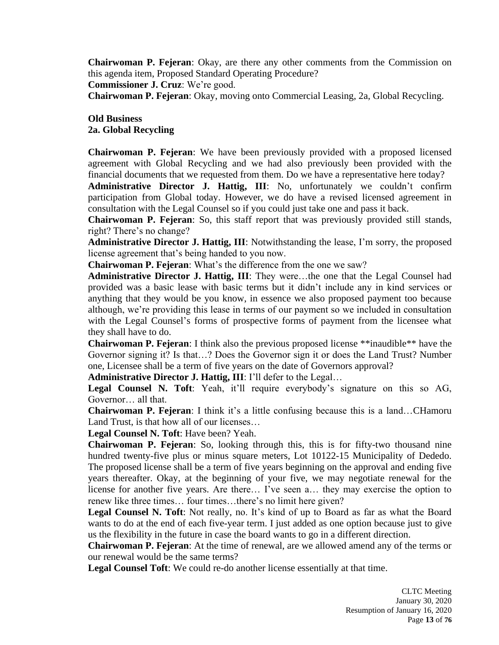**Chairwoman P. Fejeran**: Okay, are there any other comments from the Commission on this agenda item, Proposed Standard Operating Procedure?

**Commissioner J. Cruz**: We're good.

**Chairwoman P. Fejeran**: Okay, moving onto Commercial Leasing, 2a, Global Recycling.

### **Old Business 2a. Global Recycling**

**Chairwoman P. Fejeran**: We have been previously provided with a proposed licensed agreement with Global Recycling and we had also previously been provided with the financial documents that we requested from them. Do we have a representative here today?

**Administrative Director J. Hattig, III**: No, unfortunately we couldn't confirm participation from Global today. However, we do have a revised licensed agreement in consultation with the Legal Counsel so if you could just take one and pass it back.

**Chairwoman P. Fejeran**: So, this staff report that was previously provided still stands, right? There's no change?

**Administrative Director J. Hattig, III**: Notwithstanding the lease, I'm sorry, the proposed license agreement that's being handed to you now.

**Chairwoman P. Fejeran**: What's the difference from the one we saw?

**Administrative Director J. Hattig, III**: They were…the one that the Legal Counsel had provided was a basic lease with basic terms but it didn't include any in kind services or anything that they would be you know, in essence we also proposed payment too because although, we're providing this lease in terms of our payment so we included in consultation with the Legal Counsel's forms of prospective forms of payment from the licensee what they shall have to do.

**Chairwoman P. Fejeran**: I think also the previous proposed license \*\*inaudible\*\* have the Governor signing it? Is that…? Does the Governor sign it or does the Land Trust? Number one, Licensee shall be a term of five years on the date of Governors approval?

**Administrative Director J. Hattig, III**: I'll defer to the Legal…

**Legal Counsel N. Toft**: Yeah, it'll require everybody's signature on this so AG, Governor… all that.

**Chairwoman P. Fejeran**: I think it's a little confusing because this is a land…CHamoru Land Trust, is that how all of our licenses…

**Legal Counsel N. Toft**: Have been? Yeah.

**Chairwoman P. Fejeran**: So, looking through this, this is for fifty-two thousand nine hundred twenty-five plus or minus square meters, Lot 10122-15 Municipality of Dededo. The proposed license shall be a term of five years beginning on the approval and ending five years thereafter. Okay, at the beginning of your five, we may negotiate renewal for the license for another five years. Are there… I've seen a… they may exercise the option to renew like three times… four times…there's no limit here given?

**Legal Counsel N. Toft**: Not really, no. It's kind of up to Board as far as what the Board wants to do at the end of each five-year term. I just added as one option because just to give us the flexibility in the future in case the board wants to go in a different direction.

**Chairwoman P. Fejeran**: At the time of renewal, are we allowed amend any of the terms or our renewal would be the same terms?

**Legal Counsel Toft**: We could re-do another license essentially at that time.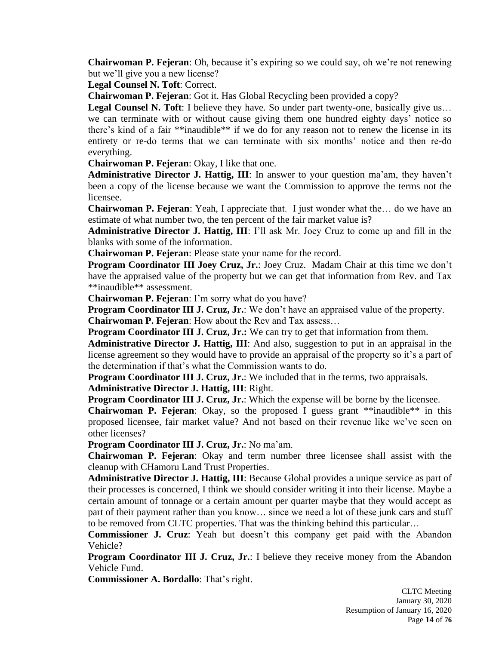**Chairwoman P. Fejeran**: Oh, because it's expiring so we could say, oh we're not renewing but we'll give you a new license?

**Legal Counsel N. Toft**: Correct.

**Chairwoman P. Fejeran**: Got it. Has Global Recycling been provided a copy?

Legal Counsel N. Toft: I believe they have. So under part twenty-one, basically give us...

we can terminate with or without cause giving them one hundred eighty days' notice so there's kind of a fair \*\*inaudible\*\* if we do for any reason not to renew the license in its entirety or re-do terms that we can terminate with six months' notice and then re-do everything.

**Chairwoman P. Fejeran**: Okay, I like that one.

**Administrative Director J. Hattig, III**: In answer to your question ma'am, they haven't been a copy of the license because we want the Commission to approve the terms not the licensee.

**Chairwoman P. Fejeran**: Yeah, I appreciate that. I just wonder what the… do we have an estimate of what number two, the ten percent of the fair market value is?

**Administrative Director J. Hattig, III**: I'll ask Mr. Joey Cruz to come up and fill in the blanks with some of the information.

**Chairwoman P. Fejeran**: Please state your name for the record.

**Program Coordinator III Joey Cruz, Jr.**: Joey Cruz. Madam Chair at this time we don't have the appraised value of the property but we can get that information from Rev. and Tax \*\*inaudible\*\* assessment.

**Chairwoman P. Fejeran**: I'm sorry what do you have?

**Program Coordinator III J. Cruz, Jr.**: We don't have an appraised value of the property.

**Chairwoman P. Fejeran**: How about the Rev and Tax assess…

**Program Coordinator <b>III J. Cruz, Jr.:** We can try to get that information from them.

**Administrative Director J. Hattig, III**: And also, suggestion to put in an appraisal in the license agreement so they would have to provide an appraisal of the property so it's a part of the determination if that's what the Commission wants to do.

**Program Coordinator III J. Cruz, Jr.**: We included that in the terms, two appraisals. **Administrative Director J. Hattig, III**: Right.

**Program Coordinator III J. Cruz, Jr.:** Which the expense will be borne by the licensee.

**Chairwoman P. Fejeran**: Okay, so the proposed I guess grant \*\*inaudible\*\* in this proposed licensee, fair market value? And not based on their revenue like we've seen on other licenses?

**Program Coordinator III J. Cruz, Jr.**: No ma'am.

**Chairwoman P. Fejeran**: Okay and term number three licensee shall assist with the cleanup with CHamoru Land Trust Properties.

**Administrative Director J. Hattig, III**: Because Global provides a unique service as part of their processes is concerned, I think we should consider writing it into their license. Maybe a certain amount of tonnage or a certain amount per quarter maybe that they would accept as part of their payment rather than you know… since we need a lot of these junk cars and stuff to be removed from CLTC properties. That was the thinking behind this particular…

**Commissioner J. Cruz**: Yeah but doesn't this company get paid with the Abandon Vehicle?

**Program Coordinator III J. Cruz, Jr.**: I believe they receive money from the Abandon Vehicle Fund.

**Commissioner A. Bordallo**: That's right.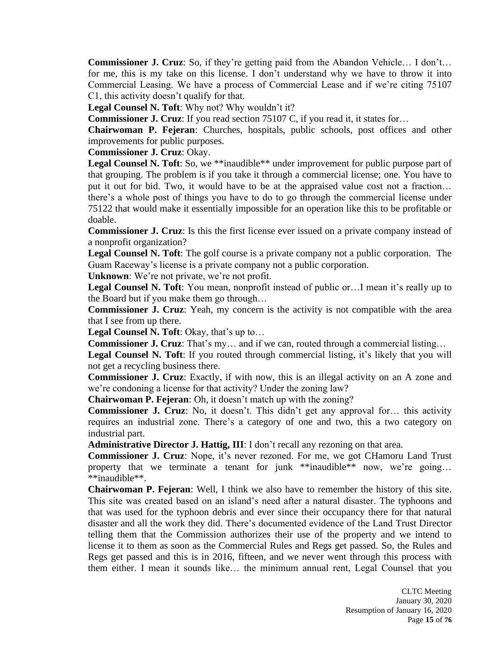**Commissioner J. Cruz**: So, if they're getting paid from the Abandon Vehicle… I don't… for me, this is my take on this license. I don't understand why we have to throw it into Commercial Leasing. We have a process of Commercial Lease and if we're citing 75107 C1, this activity doesn't qualify for that.

**Legal Counsel N. Toft**: Why not? Why wouldn't it?

**Commissioner J. Cruz**: If you read section 75107 C, if you read it, it states for...

**Chairwoman P. Fejeran**: Churches, hospitals, public schools, post offices and other improvements for public purposes.

**Commissioner J. Cruz**: Okay.

Legal Counsel N. Toft: So, we \*\*inaudible\*\* under improvement for public purpose part of that grouping. The problem is if you take it through a commercial license; one. You have to put it out for bid. Two, it would have to be at the appraised value cost not a fraction… there's a whole post of things you have to do to go through the commercial license under 75122 that would make it essentially impossible for an operation like this to be profitable or doable.

**Commissioner J. Cruz**: Is this the first license ever issued on a private company instead of a nonprofit organization?

**Legal Counsel N. Toft**: The golf course is a private company not a public corporation. The Guam Raceway's license is a private company not a public corporation.

**Unknown**: We're not private, we're not profit.

**Legal Counsel N. Toft**: You mean, nonprofit instead of public or…I mean it's really up to the Board but if you make them go through…

**Commissioner J. Cruz**: Yeah, my concern is the activity is not compatible with the area that I see from up there.

**Legal Counsel N. Toft**: Okay, that's up to…

**Commissioner J. Cruz**: That's my… and if we can, routed through a commercial listing…

Legal Counsel N. Toft: If you routed through commercial listing, it's likely that you will not get a recycling business there.

**Commissioner J. Cruz**: Exactly, if with now, this is an illegal activity on an A zone and we're condoning a license for that activity? Under the zoning law?

**Chairwoman P. Fejeran**: Oh, it doesn't match up with the zoning?

**Commissioner J. Cruz**: No, it doesn't. This didn't get any approval for... this activity requires an industrial zone. There's a category of one and two, this a two category on industrial part.

**Administrative Director J. Hattig, III**: I don't recall any rezoning on that area.

**Commissioner J. Cruz**: Nope, it's never rezoned. For me, we got CHamoru Land Trust property that we terminate a tenant for junk \*\*inaudible\*\* now, we're going... \*\*inaudible\*\*.

**Chairwoman P. Fejeran**: Well, I think we also have to remember the history of this site. This site was created based on an island's need after a natural disaster. The typhoons and that was used for the typhoon debris and ever since their occupancy there for that natural disaster and all the work they did. There's documented evidence of the Land Trust Director telling them that the Commission authorizes their use of the property and we intend to license it to them as soon as the Commercial Rules and Regs get passed. So, the Rules and Regs get passed and this is in 2016, fifteen, and we never went through this process with them either. I mean it sounds like… the minimum annual rent, Legal Counsel that you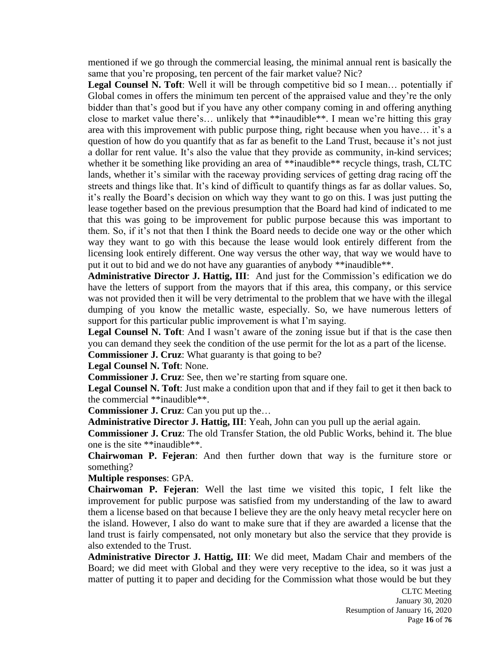mentioned if we go through the commercial leasing, the minimal annual rent is basically the same that you're proposing, ten percent of the fair market value? Nic?

**Legal Counsel N. Toft**: Well it will be through competitive bid so I mean… potentially if Global comes in offers the minimum ten percent of the appraised value and they're the only bidder than that's good but if you have any other company coming in and offering anything close to market value there's… unlikely that \*\*inaudible\*\*. I mean we're hitting this gray area with this improvement with public purpose thing, right because when you have… it's a question of how do you quantify that as far as benefit to the Land Trust, because it's not just a dollar for rent value. It's also the value that they provide as community, in-kind services; whether it be something like providing an area of \*\*inaudible\*\* recycle things, trash, CLTC lands, whether it's similar with the raceway providing services of getting drag racing off the streets and things like that. It's kind of difficult to quantify things as far as dollar values. So, it's really the Board's decision on which way they want to go on this. I was just putting the lease together based on the previous presumption that the Board had kind of indicated to me that this was going to be improvement for public purpose because this was important to them. So, if it's not that then I think the Board needs to decide one way or the other which way they want to go with this because the lease would look entirely different from the licensing look entirely different. One way versus the other way, that way we would have to put it out to bid and we do not have any guaranties of anybody \*\*inaudible\*\*.

**Administrative Director J. Hattig, III**: And just for the Commission's edification we do have the letters of support from the mayors that if this area, this company, or this service was not provided then it will be very detrimental to the problem that we have with the illegal dumping of you know the metallic waste, especially. So, we have numerous letters of support for this particular public improvement is what I'm saying.

**Legal Counsel N. Toft**: And I wasn't aware of the zoning issue but if that is the case then you can demand they seek the condition of the use permit for the lot as a part of the license.

**Commissioner J. Cruz**: What guaranty is that going to be?

**Legal Counsel N. Toft**: None.

**Commissioner J. Cruz**: See, then we're starting from square one.

**Legal Counsel N. Toft**: Just make a condition upon that and if they fail to get it then back to the commercial \*\*inaudible\*\*.

**Commissioner J. Cruz**: Can you put up the…

**Administrative Director J. Hattig, III**: Yeah, John can you pull up the aerial again.

**Commissioner J. Cruz**: The old Transfer Station, the old Public Works, behind it. The blue one is the site \*\*inaudible\*\*.

**Chairwoman P. Fejeran**: And then further down that way is the furniture store or something?

**Multiple responses**: GPA.

**Chairwoman P. Fejeran**: Well the last time we visited this topic, I felt like the improvement for public purpose was satisfied from my understanding of the law to award them a license based on that because I believe they are the only heavy metal recycler here on the island. However, I also do want to make sure that if they are awarded a license that the land trust is fairly compensated, not only monetary but also the service that they provide is also extended to the Trust.

**Administrative Director J. Hattig, III**: We did meet, Madam Chair and members of the Board; we did meet with Global and they were very receptive to the idea, so it was just a matter of putting it to paper and deciding for the Commission what those would be but they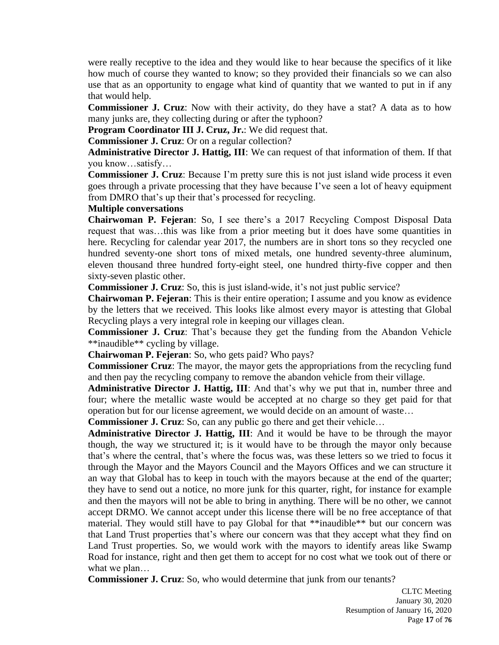were really receptive to the idea and they would like to hear because the specifics of it like how much of course they wanted to know; so they provided their financials so we can also use that as an opportunity to engage what kind of quantity that we wanted to put in if any that would help.

**Commissioner J. Cruz**: Now with their activity, do they have a stat? A data as to how many junks are, they collecting during or after the typhoon?

**Program Coordinator III J. Cruz, Jr.**: We did request that.

**Commissioner J. Cruz**: Or on a regular collection?

**Administrative Director J. Hattig, III**: We can request of that information of them. If that you know…satisfy…

**Commissioner J. Cruz**: Because I'm pretty sure this is not just island wide process it even goes through a private processing that they have because I've seen a lot of heavy equipment from DMRO that's up their that's processed for recycling.

#### **Multiple conversations**

**Chairwoman P. Fejeran**: So, I see there's a 2017 Recycling Compost Disposal Data request that was…this was like from a prior meeting but it does have some quantities in here. Recycling for calendar year 2017, the numbers are in short tons so they recycled one hundred seventy-one short tons of mixed metals, one hundred seventy-three aluminum, eleven thousand three hundred forty-eight steel, one hundred thirty-five copper and then sixty-seven plastic other.

**Commissioner J. Cruz**: So, this is just island-wide, it's not just public service?

**Chairwoman P. Fejeran**: This is their entire operation; I assume and you know as evidence by the letters that we received. This looks like almost every mayor is attesting that Global Recycling plays a very integral role in keeping our villages clean.

**Commissioner J. Cruz**: That's because they get the funding from the Abandon Vehicle \*\*inaudible\*\* cycling by village.

**Chairwoman P. Fejeran**: So, who gets paid? Who pays?

**Commissioner Cruz**: The mayor, the mayor gets the appropriations from the recycling fund and then pay the recycling company to remove the abandon vehicle from their village.

**Administrative Director J. Hattig, III**: And that's why we put that in, number three and four; where the metallic waste would be accepted at no charge so they get paid for that operation but for our license agreement, we would decide on an amount of waste…

**Commissioner J. Cruz**: So, can any public go there and get their vehicle…

**Administrative Director J. Hattig, III**: And it would be have to be through the mayor though, the way we structured it; is it would have to be through the mayor only because that's where the central, that's where the focus was, was these letters so we tried to focus it through the Mayor and the Mayors Council and the Mayors Offices and we can structure it an way that Global has to keep in touch with the mayors because at the end of the quarter; they have to send out a notice, no more junk for this quarter, right, for instance for example and then the mayors will not be able to bring in anything. There will be no other, we cannot accept DRMO. We cannot accept under this license there will be no free acceptance of that material. They would still have to pay Global for that \*\*inaudible\*\* but our concern was that Land Trust properties that's where our concern was that they accept what they find on Land Trust properties. So, we would work with the mayors to identify areas like Swamp Road for instance, right and then get them to accept for no cost what we took out of there or what we plan…

**Commissioner J. Cruz**: So, who would determine that junk from our tenants?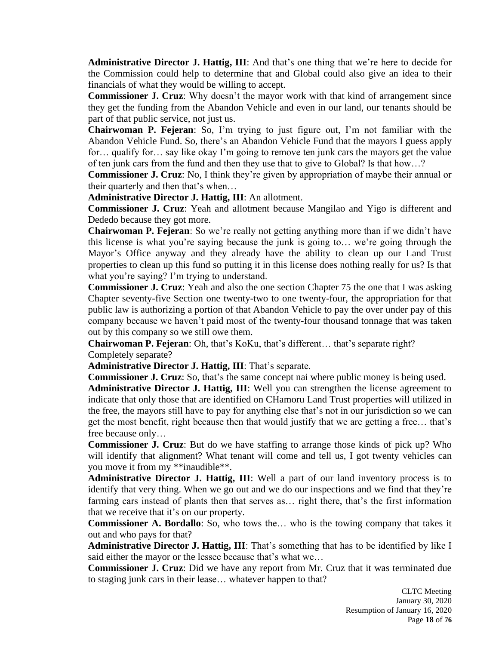**Administrative Director J. Hattig, III**: And that's one thing that we're here to decide for the Commission could help to determine that and Global could also give an idea to their financials of what they would be willing to accept.

**Commissioner J. Cruz**: Why doesn't the mayor work with that kind of arrangement since they get the funding from the Abandon Vehicle and even in our land, our tenants should be part of that public service, not just us.

**Chairwoman P. Fejeran**: So, I'm trying to just figure out, I'm not familiar with the Abandon Vehicle Fund. So, there's an Abandon Vehicle Fund that the mayors I guess apply for… qualify for… say like okay I'm going to remove ten junk cars the mayors get the value of ten junk cars from the fund and then they use that to give to Global? Is that how…?

**Commissioner J. Cruz**: No, I think they're given by appropriation of maybe their annual or their quarterly and then that's when…

**Administrative Director J. Hattig, III**: An allotment.

**Commissioner J. Cruz**: Yeah and allotment because Mangilao and Yigo is different and Dededo because they got more.

**Chairwoman P. Fejeran**: So we're really not getting anything more than if we didn't have this license is what you're saying because the junk is going to… we're going through the Mayor's Office anyway and they already have the ability to clean up our Land Trust properties to clean up this fund so putting it in this license does nothing really for us? Is that what you're saying? I'm trying to understand.

**Commissioner J. Cruz**: Yeah and also the one section Chapter 75 the one that I was asking Chapter seventy-five Section one twenty-two to one twenty-four, the appropriation for that public law is authorizing a portion of that Abandon Vehicle to pay the over under pay of this company because we haven't paid most of the twenty-four thousand tonnage that was taken out by this company so we still owe them.

**Chairwoman P. Fejeran**: Oh, that's KoKu, that's different… that's separate right? Completely separate?

**Administrative Director J. Hattig, III**: That's separate.

**Commissioner J. Cruz**: So, that's the same concept nai where public money is being used.

**Administrative Director J. Hattig, III**: Well you can strengthen the license agreement to indicate that only those that are identified on CHamoru Land Trust properties will utilized in the free, the mayors still have to pay for anything else that's not in our jurisdiction so we can get the most benefit, right because then that would justify that we are getting a free… that's free because only…

**Commissioner J. Cruz**: But do we have staffing to arrange those kinds of pick up? Who will identify that alignment? What tenant will come and tell us, I got twenty vehicles can you move it from my \*\*inaudible\*\*.

**Administrative Director J. Hattig, III**: Well a part of our land inventory process is to identify that very thing. When we go out and we do our inspections and we find that they're farming cars instead of plants then that serves as… right there, that's the first information that we receive that it's on our property.

**Commissioner A. Bordallo**: So, who tows the… who is the towing company that takes it out and who pays for that?

**Administrative Director J. Hattig, III**: That's something that has to be identified by like I said either the mayor or the lessee because that's what we…

**Commissioner J. Cruz**: Did we have any report from Mr. Cruz that it was terminated due to staging junk cars in their lease… whatever happen to that?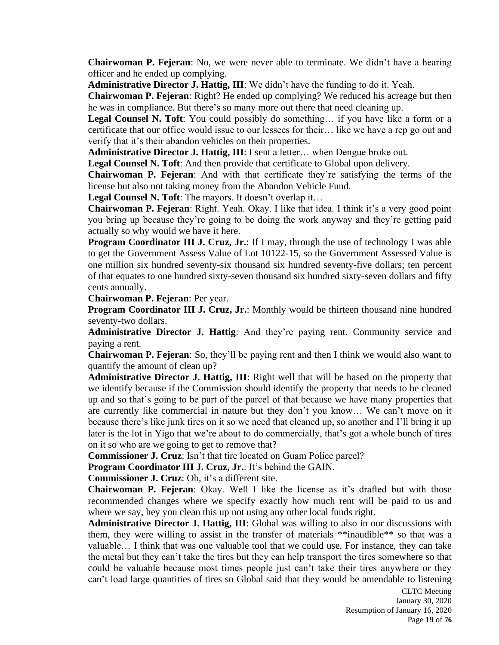**Chairwoman P. Fejeran**: No, we were never able to terminate. We didn't have a hearing officer and he ended up complying.

**Administrative Director J. Hattig, III**: We didn't have the funding to do it. Yeah.

**Chairwoman P. Fejeran**: Right? He ended up complying? We reduced his acreage but then he was in compliance. But there's so many more out there that need cleaning up.

**Legal Counsel N. Toft**: You could possibly do something… if you have like a form or a certificate that our office would issue to our lessees for their… like we have a rep go out and verify that it's their abandon vehicles on their properties.

**Administrative Director J. Hattig, III**: I sent a letter… when Dengue broke out.

**Legal Counsel N. Toft**: And then provide that certificate to Global upon delivery.

**Chairwoman P. Fejeran**: And with that certificate they're satisfying the terms of the license but also not taking money from the Abandon Vehicle Fund.

Legal Counsel N. Toft: The mayors. It doesn't overlap it...

**Chairwoman P. Fejeran**: Right. Yeah. Okay. I like that idea. I think it's a very good point you bring up because they're going to be doing the work anyway and they're getting paid actually so why would we have it here.

**Program Coordinator III J. Cruz, Jr.**: If I may, through the use of technology I was able to get the Government Assess Value of Lot 10122-15, so the Government Assessed Value is one million six hundred seventy-six thousand six hundred seventy-five dollars; ten percent of that equates to one hundred sixty-seven thousand six hundred sixty-seven dollars and fifty cents annually.

**Chairwoman P. Fejeran**: Per year.

**Program Coordinator III J. Cruz, Jr.**: Monthly would be thirteen thousand nine hundred seventy-two dollars.

**Administrative Director J. Hattig**: And they're paying rent. Community service and paying a rent.

**Chairwoman P. Fejeran**: So, they'll be paying rent and then I think we would also want to quantify the amount of clean up?

**Administrative Director J. Hattig, III**: Right well that will be based on the property that we identify because if the Commission should identify the property that needs to be cleaned up and so that's going to be part of the parcel of that because we have many properties that are currently like commercial in nature but they don't you know… We can't move on it because there's like junk tires on it so we need that cleaned up, so another and I'll bring it up later is the lot in Yigo that we're about to do commercially, that's got a whole bunch of tires on it so who are we going to get to remove that?

**Commissioner J. Cruz**: Isn't that tire located on Guam Police parcel?

**Program Coordinator III J. Cruz, Jr.**: It's behind the GAIN.

**Commissioner J. Cruz**: Oh, it's a different site.

**Chairwoman P. Fejeran**: Okay. Well I like the license as it's drafted but with those recommended changes where we specify exactly how much rent will be paid to us and where we say, hey you clean this up not using any other local funds right.

**Administrative Director J. Hattig, III**: Global was willing to also in our discussions with them, they were willing to assist in the transfer of materials \*\*inaudible\*\* so that was a valuable… I think that was one valuable tool that we could use. For instance, they can take the metal but they can't take the tires but they can help transport the tires somewhere so that could be valuable because most times people just can't take their tires anywhere or they can't load large quantities of tires so Global said that they would be amendable to listening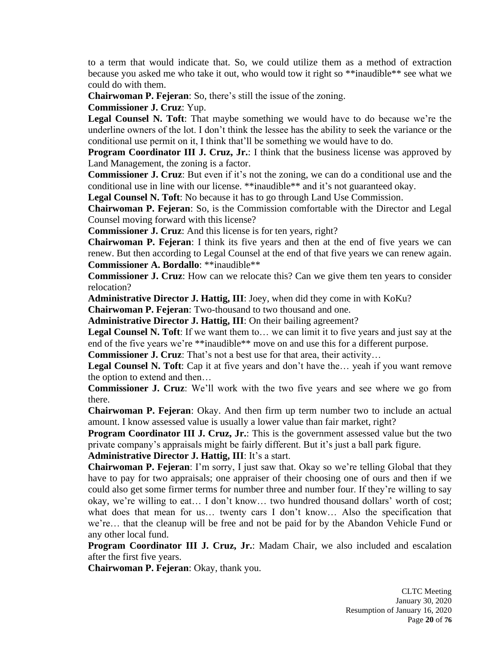to a term that would indicate that. So, we could utilize them as a method of extraction because you asked me who take it out, who would tow it right so \*\*inaudible\*\* see what we could do with them.

**Chairwoman P. Fejeran**: So, there's still the issue of the zoning.

**Commissioner J. Cruz**: Yup.

**Legal Counsel N. Toft**: That maybe something we would have to do because we're the underline owners of the lot. I don't think the lessee has the ability to seek the variance or the conditional use permit on it, I think that'll be something we would have to do.

**Program Coordinator III J. Cruz, Jr.**: I think that the business license was approved by Land Management, the zoning is a factor.

**Commissioner J. Cruz**: But even if it's not the zoning, we can do a conditional use and the conditional use in line with our license. \*\*inaudible\*\* and it's not guaranteed okay.

**Legal Counsel N. Toft**: No because it has to go through Land Use Commission.

**Chairwoman P. Fejeran**: So, is the Commission comfortable with the Director and Legal Counsel moving forward with this license?

**Commissioner J. Cruz**: And this license is for ten years, right?

**Chairwoman P. Fejeran**: I think its five years and then at the end of five years we can renew. But then according to Legal Counsel at the end of that five years we can renew again. **Commissioner A. Bordallo**: \*\*inaudible\*\*

**Commissioner J. Cruz**: How can we relocate this? Can we give them ten years to consider relocation?

**Administrative Director J. Hattig, III**: Joey, when did they come in with KoKu?

**Chairwoman P. Fejeran**: Two-thousand to two thousand and one.

**Administrative Director J. Hattig, III**: On their bailing agreement?

**Legal Counsel N. Toft**: If we want them to… we can limit it to five years and just say at the end of the five years we're \*\*inaudible\*\* move on and use this for a different purpose.

**Commissioner J. Cruz**: That's not a best use for that area, their activity...

**Legal Counsel N. Toft**: Cap it at five years and don't have the… yeah if you want remove the option to extend and then…

**Commissioner J. Cruz**: We'll work with the two five years and see where we go from there.

**Chairwoman P. Fejeran**: Okay. And then firm up term number two to include an actual amount. I know assessed value is usually a lower value than fair market, right?

**Program Coordinator III J. Cruz, Jr.**: This is the government assessed value but the two private company's appraisals might be fairly different. But it's just a ball park figure.

**Administrative Director J. Hattig, III**: It's a start.

**Chairwoman P. Fejeran**: I'm sorry, I just saw that. Okay so we're telling Global that they have to pay for two appraisals; one appraiser of their choosing one of ours and then if we could also get some firmer terms for number three and number four. If they're willing to say okay, we're willing to eat… I don't know… two hundred thousand dollars' worth of cost; what does that mean for us... twenty cars I don't know... Also the specification that we're… that the cleanup will be free and not be paid for by the Abandon Vehicle Fund or any other local fund.

**Program Coordinator III J. Cruz, Jr.**: Madam Chair, we also included and escalation after the first five years.

**Chairwoman P. Fejeran**: Okay, thank you.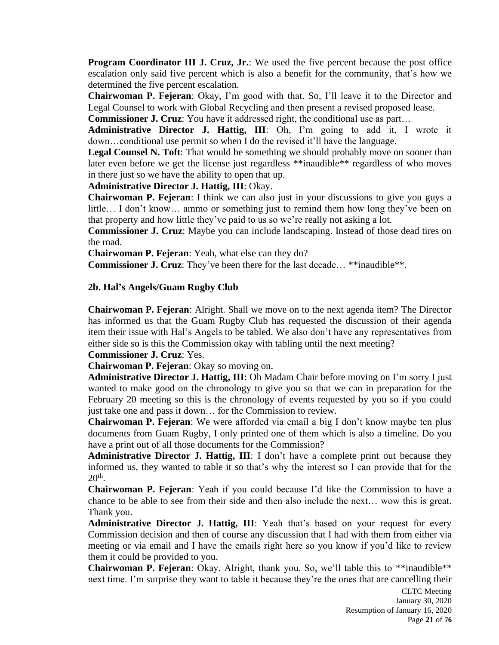**Program Coordinator III J. Cruz, Jr.**: We used the five percent because the post office escalation only said five percent which is also a benefit for the community, that's how we determined the five percent escalation.

**Chairwoman P. Fejeran**: Okay, I'm good with that. So, I'll leave it to the Director and Legal Counsel to work with Global Recycling and then present a revised proposed lease.

**Commissioner J. Cruz**: You have it addressed right, the conditional use as part…

**Administrative Director J. Hattig, III**: Oh, I'm going to add it, I wrote it down…conditional use permit so when I do the revised it'll have the language.

**Legal Counsel N. Toft**: That would be something we should probably move on sooner than later even before we get the license just regardless \*\*inaudible\*\* regardless of who moves in there just so we have the ability to open that up.

**Administrative Director J. Hattig, III**: Okay.

**Chairwoman P. Fejeran**: I think we can also just in your discussions to give you guys a little… I don't know… ammo or something just to remind them how long they've been on that property and how little they've paid to us so we're really not asking a lot.

**Commissioner J. Cruz**: Maybe you can include landscaping. Instead of those dead tires on the road.

**Chairwoman P. Fejeran**: Yeah, what else can they do?

**Commissioner J. Cruz**: They've been there for the last decade... \*\*inaudible\*\*.

# **2b. Hal's Angels/Guam Rugby Club**

**Chairwoman P. Fejeran**: Alright. Shall we move on to the next agenda item? The Director has informed us that the Guam Rugby Club has requested the discussion of their agenda item their issue with Hal's Angels to be tabled. We also don't have any representatives from either side so is this the Commission okay with tabling until the next meeting?

**Commissioner J. Cruz**: Yes.

**Chairwoman P. Fejeran**: Okay so moving on.

**Administrative Director J. Hattig, III**: Oh Madam Chair before moving on I'm sorry I just wanted to make good on the chronology to give you so that we can in preparation for the February 20 meeting so this is the chronology of events requested by you so if you could just take one and pass it down… for the Commission to review.

**Chairwoman P. Fejeran**: We were afforded via email a big I don't know maybe ten plus documents from Guam Rugby, I only printed one of them which is also a timeline. Do you have a print out of all those documents for the Commission?

**Administrative Director J. Hattig, III**: I don't have a complete print out because they informed us, they wanted to table it so that's why the interest so I can provide that for the  $20<sup>th</sup>$ .

**Chairwoman P. Fejeran**: Yeah if you could because I'd like the Commission to have a chance to be able to see from their side and then also include the next… wow this is great. Thank you.

**Administrative Director J. Hattig, III**: Yeah that's based on your request for every Commission decision and then of course any discussion that I had with them from either via meeting or via email and I have the emails right here so you know if you'd like to review them it could be provided to you.

**Chairwoman P. Fejeran**: Okay. Alright, thank you. So, we'll table this to \*\*inaudible\*\* next time. I'm surprise they want to table it because they're the ones that are cancelling their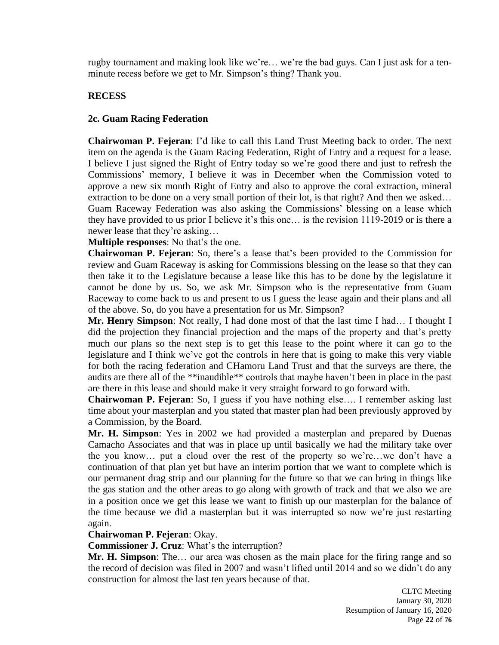rugby tournament and making look like we're… we're the bad guys. Can I just ask for a tenminute recess before we get to Mr. Simpson's thing? Thank you.

# **RECESS**

# **2c. Guam Racing Federation**

**Chairwoman P. Fejeran**: I'd like to call this Land Trust Meeting back to order. The next item on the agenda is the Guam Racing Federation, Right of Entry and a request for a lease. I believe I just signed the Right of Entry today so we're good there and just to refresh the Commissions' memory, I believe it was in December when the Commission voted to approve a new six month Right of Entry and also to approve the coral extraction, mineral extraction to be done on a very small portion of their lot, is that right? And then we asked... Guam Raceway Federation was also asking the Commissions' blessing on a lease which they have provided to us prior I believe it's this one… is the revision 1119-2019 or is there a newer lease that they're asking…

**Multiple responses**: No that's the one.

**Chairwoman P. Fejeran**: So, there's a lease that's been provided to the Commission for review and Guam Raceway is asking for Commissions blessing on the lease so that they can then take it to the Legislature because a lease like this has to be done by the legislature it cannot be done by us. So, we ask Mr. Simpson who is the representative from Guam Raceway to come back to us and present to us I guess the lease again and their plans and all of the above. So, do you have a presentation for us Mr. Simpson?

**Mr. Henry Simpson**: Not really, I had done most of that the last time I had… I thought I did the projection they financial projection and the maps of the property and that's pretty much our plans so the next step is to get this lease to the point where it can go to the legislature and I think we've got the controls in here that is going to make this very viable for both the racing federation and CHamoru Land Trust and that the surveys are there, the audits are there all of the \*\*inaudible\*\* controls that maybe haven't been in place in the past are there in this lease and should make it very straight forward to go forward with.

**Chairwoman P. Fejeran**: So, I guess if you have nothing else…. I remember asking last time about your masterplan and you stated that master plan had been previously approved by a Commission, by the Board.

**Mr. H. Simpson**: Yes in 2002 we had provided a masterplan and prepared by Duenas Camacho Associates and that was in place up until basically we had the military take over the you know… put a cloud over the rest of the property so we're…we don't have a continuation of that plan yet but have an interim portion that we want to complete which is our permanent drag strip and our planning for the future so that we can bring in things like the gas station and the other areas to go along with growth of track and that we also we are in a position once we get this lease we want to finish up our masterplan for the balance of the time because we did a masterplan but it was interrupted so now we're just restarting again.

# **Chairwoman P. Fejeran**: Okay.

**Commissioner J. Cruz**: What's the interruption?

**Mr. H. Simpson**: The... our area was chosen as the main place for the firing range and so the record of decision was filed in 2007 and wasn't lifted until 2014 and so we didn't do any construction for almost the last ten years because of that.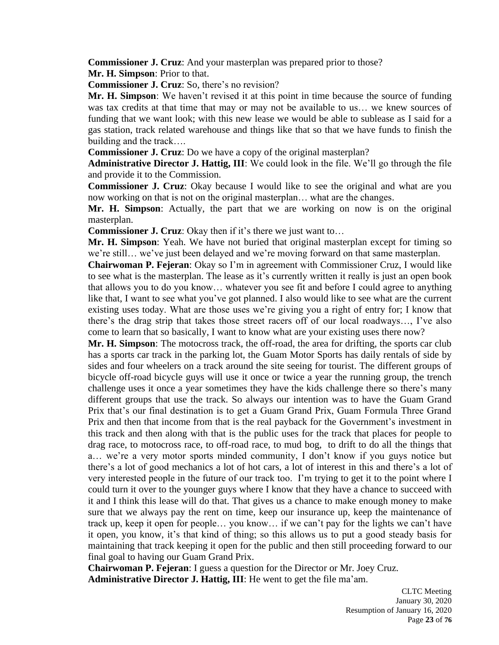**Commissioner J. Cruz**: And your masterplan was prepared prior to those?

**Mr. H. Simpson**: Prior to that.

**Commissioner J. Cruz**: So, there's no revision?

**Mr. H. Simpson**: We haven't revised it at this point in time because the source of funding was tax credits at that time that may or may not be available to us… we knew sources of funding that we want look; with this new lease we would be able to sublease as I said for a gas station, track related warehouse and things like that so that we have funds to finish the building and the track….

**Commissioner J. Cruz**: Do we have a copy of the original masterplan?

**Administrative Director J. Hattig, III**: We could look in the file. We'll go through the file and provide it to the Commission.

**Commissioner J. Cruz**: Okay because I would like to see the original and what are you now working on that is not on the original masterplan… what are the changes.

**Mr. H. Simpson**: Actually, the part that we are working on now is on the original masterplan.

**Commissioner J. Cruz**: Okay then if it's there we just want to…

**Mr. H. Simpson**: Yeah. We have not buried that original masterplan except for timing so we're still… we've just been delayed and we're moving forward on that same masterplan.

**Chairwoman P. Fejeran**: Okay so I'm in agreement with Commissioner Cruz, I would like to see what is the masterplan. The lease as it's currently written it really is just an open book that allows you to do you know… whatever you see fit and before I could agree to anything like that, I want to see what you've got planned. I also would like to see what are the current existing uses today. What are those uses we're giving you a right of entry for; I know that there's the drag strip that takes those street racers off of our local roadways…, I've also come to learn that so basically, I want to know what are your existing uses there now?

**Mr. H. Simpson**: The motocross track, the off-road, the area for drifting, the sports car club has a sports car track in the parking lot, the Guam Motor Sports has daily rentals of side by sides and four wheelers on a track around the site seeing for tourist. The different groups of bicycle off-road bicycle guys will use it once or twice a year the running group, the trench challenge uses it once a year sometimes they have the kids challenge there so there's many different groups that use the track. So always our intention was to have the Guam Grand Prix that's our final destination is to get a Guam Grand Prix, Guam Formula Three Grand Prix and then that income from that is the real payback for the Government's investment in this track and then along with that is the public uses for the track that places for people to drag race, to motocross race, to off-road race, to mud bog, to drift to do all the things that a… we're a very motor sports minded community, I don't know if you guys notice but there's a lot of good mechanics a lot of hot cars, a lot of interest in this and there's a lot of very interested people in the future of our track too. I'm trying to get it to the point where I could turn it over to the younger guys where I know that they have a chance to succeed with it and I think this lease will do that. That gives us a chance to make enough money to make sure that we always pay the rent on time, keep our insurance up, keep the maintenance of track up, keep it open for people… you know… if we can't pay for the lights we can't have it open, you know, it's that kind of thing; so this allows us to put a good steady basis for maintaining that track keeping it open for the public and then still proceeding forward to our final goal to having our Guam Grand Prix.

**Chairwoman P. Fejeran**: I guess a question for the Director or Mr. Joey Cruz. **Administrative Director J. Hattig, III**: He went to get the file ma'am.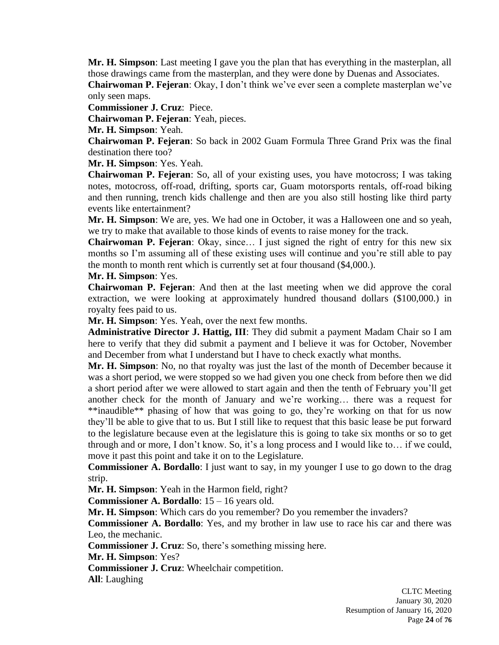**Mr. H. Simpson**: Last meeting I gave you the plan that has everything in the masterplan, all those drawings came from the masterplan, and they were done by Duenas and Associates.

**Chairwoman P. Fejeran**: Okay, I don't think we've ever seen a complete masterplan we've only seen maps.

**Commissioner J. Cruz**: Piece.

**Chairwoman P. Fejeran**: Yeah, pieces.

**Mr. H. Simpson**: Yeah.

**Chairwoman P. Fejeran**: So back in 2002 Guam Formula Three Grand Prix was the final destination there too?

**Mr. H. Simpson**: Yes. Yeah.

**Chairwoman P. Fejeran**: So, all of your existing uses, you have motocross; I was taking notes, motocross, off-road, drifting, sports car, Guam motorsports rentals, off-road biking and then running, trench kids challenge and then are you also still hosting like third party events like entertainment?

**Mr. H. Simpson**: We are, yes. We had one in October, it was a Halloween one and so yeah, we try to make that available to those kinds of events to raise money for the track.

**Chairwoman P. Fejeran**: Okay, since… I just signed the right of entry for this new six months so I'm assuming all of these existing uses will continue and you're still able to pay the month to month rent which is currently set at four thousand (\$4,000.).

**Mr. H. Simpson**: Yes.

**Chairwoman P. Fejeran**: And then at the last meeting when we did approve the coral extraction, we were looking at approximately hundred thousand dollars (\$100,000.) in royalty fees paid to us.

**Mr. H. Simpson**: Yes. Yeah, over the next few months.

**Administrative Director J. Hattig, III**: They did submit a payment Madam Chair so I am here to verify that they did submit a payment and I believe it was for October, November and December from what I understand but I have to check exactly what months.

**Mr. H. Simpson**: No, no that royalty was just the last of the month of December because it was a short period, we were stopped so we had given you one check from before then we did a short period after we were allowed to start again and then the tenth of February you'll get another check for the month of January and we're working… there was a request for \*\*inaudible\*\* phasing of how that was going to go, they're working on that for us now they'll be able to give that to us. But I still like to request that this basic lease be put forward to the legislature because even at the legislature this is going to take six months or so to get through and or more, I don't know. So, it's a long process and I would like to… if we could, move it past this point and take it on to the Legislature.

**Commissioner A. Bordallo**: I just want to say, in my younger I use to go down to the drag strip.

**Mr. H. Simpson**: Yeah in the Harmon field, right?

**Commissioner A. Bordallo**: 15 – 16 years old.

**Mr. H. Simpson**: Which cars do you remember? Do you remember the invaders?

**Commissioner A. Bordallo**: Yes, and my brother in law use to race his car and there was Leo, the mechanic.

**Commissioner J. Cruz**: So, there's something missing here.

**Mr. H. Simpson**: Yes?

**Commissioner J. Cruz**: Wheelchair competition.

**All**: Laughing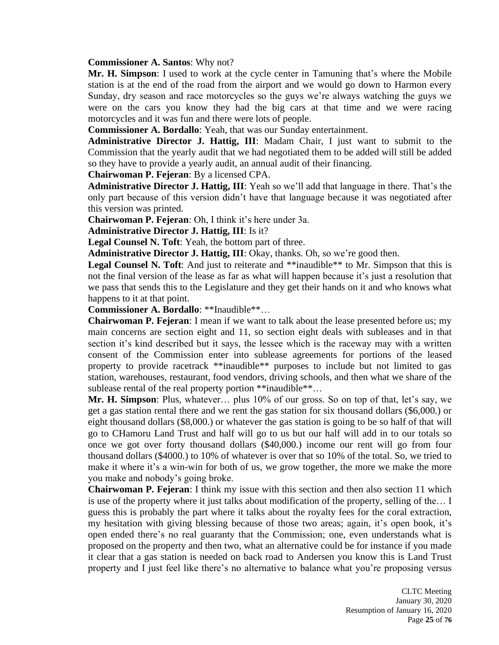#### **Commissioner A. Santos**: Why not?

**Mr. H. Simpson**: I used to work at the cycle center in Tamuning that's where the Mobile station is at the end of the road from the airport and we would go down to Harmon every Sunday, dry season and race motorcycles so the guys we're always watching the guys we were on the cars you know they had the big cars at that time and we were racing motorcycles and it was fun and there were lots of people.

**Commissioner A. Bordallo**: Yeah, that was our Sunday entertainment.

**Administrative Director J. Hattig, III**: Madam Chair, I just want to submit to the Commission that the yearly audit that we had negotiated them to be added will still be added so they have to provide a yearly audit, an annual audit of their financing.

**Chairwoman P. Fejeran**: By a licensed CPA.

**Administrative Director J. Hattig, III**: Yeah so we'll add that language in there. That's the only part because of this version didn't have that language because it was negotiated after this version was printed.

**Chairwoman P. Fejeran**: Oh, I think it's here under 3a.

**Administrative Director J. Hattig, III**: Is it?

**Legal Counsel N. Toft**: Yeah, the bottom part of three.

**Administrative Director J. Hattig, III**: Okay, thanks. Oh, so we're good then.

Legal Counsel N. Toft: And just to reiterate and \*\*inaudible<sup>\*\*</sup> to Mr. Simpson that this is not the final version of the lease as far as what will happen because it's just a resolution that we pass that sends this to the Legislature and they get their hands on it and who knows what happens to it at that point.

**Commissioner A. Bordallo**: \*\*Inaudible\*\*…

**Chairwoman P. Fejeran**: I mean if we want to talk about the lease presented before us; my main concerns are section eight and 11, so section eight deals with subleases and in that section it's kind described but it says, the lessee which is the raceway may with a written consent of the Commission enter into sublease agreements for portions of the leased property to provide racetrack \*\*inaudible\*\* purposes to include but not limited to gas station, warehouses, restaurant, food vendors, driving schools, and then what we share of the sublease rental of the real property portion \*\*inaudible\*\*...

**Mr. H. Simpson**: Plus, whatever… plus 10% of our gross. So on top of that, let's say, we get a gas station rental there and we rent the gas station for six thousand dollars (\$6,000.) or eight thousand dollars (\$8,000.) or whatever the gas station is going to be so half of that will go to CHamoru Land Trust and half will go to us but our half will add in to our totals so once we got over forty thousand dollars (\$40,000.) income our rent will go from four thousand dollars (\$4000.) to 10% of whatever is over that so 10% of the total. So, we tried to make it where it's a win-win for both of us, we grow together, the more we make the more you make and nobody's going broke.

**Chairwoman P. Fejeran**: I think my issue with this section and then also section 11 which is use of the property where it just talks about modification of the property, selling of the… I guess this is probably the part where it talks about the royalty fees for the coral extraction, my hesitation with giving blessing because of those two areas; again, it's open book, it's open ended there's no real guaranty that the Commission; one, even understands what is proposed on the property and then two, what an alternative could be for instance if you made it clear that a gas station is needed on back road to Andersen you know this is Land Trust property and I just feel like there's no alternative to balance what you're proposing versus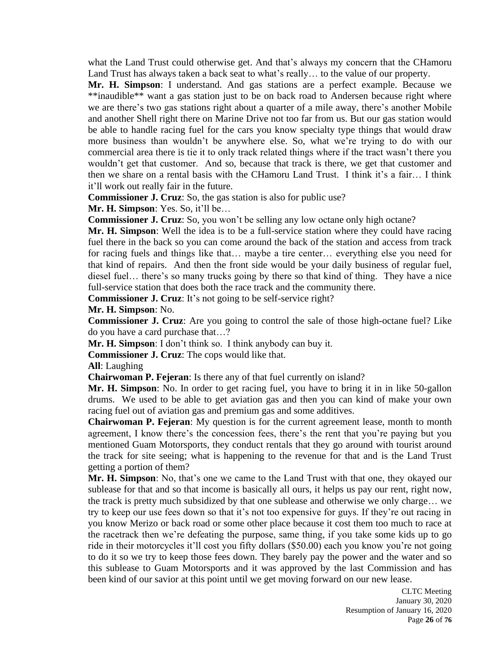what the Land Trust could otherwise get. And that's always my concern that the CHamoru Land Trust has always taken a back seat to what's really… to the value of our property.

**Mr. H. Simpson**: I understand. And gas stations are a perfect example. Because we \*\*inaudible\*\* want a gas station just to be on back road to Andersen because right where we are there's two gas stations right about a quarter of a mile away, there's another Mobile and another Shell right there on Marine Drive not too far from us. But our gas station would be able to handle racing fuel for the cars you know specialty type things that would draw more business than wouldn't be anywhere else. So, what we're trying to do with our commercial area there is tie it to only track related things where if the tract wasn't there you wouldn't get that customer. And so, because that track is there, we get that customer and then we share on a rental basis with the CHamoru Land Trust. I think it's a fair… I think it'll work out really fair in the future.

**Commissioner J. Cruz**: So, the gas station is also for public use?

**Mr. H. Simpson**: Yes. So, it'll be…

**Commissioner J. Cruz**: So, you won't be selling any low octane only high octane?

**Mr. H. Simpson**: Well the idea is to be a full-service station where they could have racing fuel there in the back so you can come around the back of the station and access from track for racing fuels and things like that… maybe a tire center… everything else you need for that kind of repairs. And then the front side would be your daily business of regular fuel, diesel fuel… there's so many trucks going by there so that kind of thing. They have a nice full-service station that does both the race track and the community there.

**Commissioner J. Cruz**: It's not going to be self-service right?

**Mr. H. Simpson**: No.

**Commissioner J. Cruz**: Are you going to control the sale of those high-octane fuel? Like do you have a card purchase that…?

**Mr. H. Simpson**: I don't think so. I think anybody can buy it.

**Commissioner J. Cruz**: The cops would like that.

**All**: Laughing

**Chairwoman P. Fejeran**: Is there any of that fuel currently on island?

**Mr. H. Simpson**: No. In order to get racing fuel, you have to bring it in in like 50-gallon drums. We used to be able to get aviation gas and then you can kind of make your own racing fuel out of aviation gas and premium gas and some additives.

**Chairwoman P. Fejeran**: My question is for the current agreement lease, month to month agreement, I know there's the concession fees, there's the rent that you're paying but you mentioned Guam Motorsports, they conduct rentals that they go around with tourist around the track for site seeing; what is happening to the revenue for that and is the Land Trust getting a portion of them?

**Mr. H. Simpson**: No, that's one we came to the Land Trust with that one, they okayed our sublease for that and so that income is basically all ours, it helps us pay our rent, right now, the track is pretty much subsidized by that one sublease and otherwise we only charge… we try to keep our use fees down so that it's not too expensive for guys. If they're out racing in you know Merizo or back road or some other place because it cost them too much to race at the racetrack then we're defeating the purpose, same thing, if you take some kids up to go ride in their motorcycles it'll cost you fifty dollars (\$50.00) each you know you're not going to do it so we try to keep those fees down. They barely pay the power and the water and so this sublease to Guam Motorsports and it was approved by the last Commission and has been kind of our savior at this point until we get moving forward on our new lease.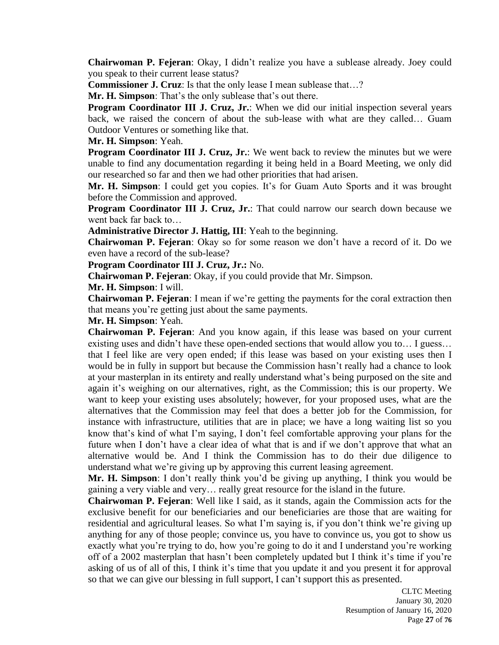**Chairwoman P. Fejeran**: Okay, I didn't realize you have a sublease already. Joey could you speak to their current lease status?

**Commissioner J. Cruz**: Is that the only lease I mean sublease that…?

**Mr. H. Simpson**: That's the only sublease that's out there.

**Program Coordinator III J. Cruz, Jr.**: When we did our initial inspection several years back, we raised the concern of about the sub-lease with what are they called… Guam Outdoor Ventures or something like that.

**Mr. H. Simpson**: Yeah.

**Program Coordinator III J. Cruz, Jr.**: We went back to review the minutes but we were unable to find any documentation regarding it being held in a Board Meeting, we only did our researched so far and then we had other priorities that had arisen.

**Mr. H. Simpson**: I could get you copies. It's for Guam Auto Sports and it was brought before the Commission and approved.

**Program Coordinator III J. Cruz, Jr.**: That could narrow our search down because we went back far back to…

**Administrative Director J. Hattig, III**: Yeah to the beginning.

**Chairwoman P. Fejeran**: Okay so for some reason we don't have a record of it. Do we even have a record of the sub-lease?

**Program Coordinator III J. Cruz, Jr.:** No.

**Chairwoman P. Fejeran**: Okay, if you could provide that Mr. Simpson.

**Mr. H. Simpson**: I will.

**Chairwoman P. Fejeran**: I mean if we're getting the payments for the coral extraction then that means you're getting just about the same payments.

### **Mr. H. Simpson**: Yeah.

**Chairwoman P. Fejeran**: And you know again, if this lease was based on your current existing uses and didn't have these open-ended sections that would allow you to… I guess… that I feel like are very open ended; if this lease was based on your existing uses then I would be in fully in support but because the Commission hasn't really had a chance to look at your masterplan in its entirety and really understand what's being purposed on the site and again it's weighing on our alternatives, right, as the Commission; this is our property. We want to keep your existing uses absolutely; however, for your proposed uses, what are the alternatives that the Commission may feel that does a better job for the Commission, for instance with infrastructure, utilities that are in place; we have a long waiting list so you know that's kind of what I'm saying, I don't feel comfortable approving your plans for the future when I don't have a clear idea of what that is and if we don't approve that what an alternative would be. And I think the Commission has to do their due diligence to understand what we're giving up by approving this current leasing agreement.

**Mr. H. Simpson**: I don't really think you'd be giving up anything, I think you would be gaining a very viable and very… really great resource for the island in the future.

**Chairwoman P. Fejeran**: Well like I said, as it stands, again the Commission acts for the exclusive benefit for our beneficiaries and our beneficiaries are those that are waiting for residential and agricultural leases. So what I'm saying is, if you don't think we're giving up anything for any of those people; convince us, you have to convince us, you got to show us exactly what you're trying to do, how you're going to do it and I understand you're working off of a 2002 masterplan that hasn't been completely updated but I think it's time if you're asking of us of all of this, I think it's time that you update it and you present it for approval so that we can give our blessing in full support, I can't support this as presented.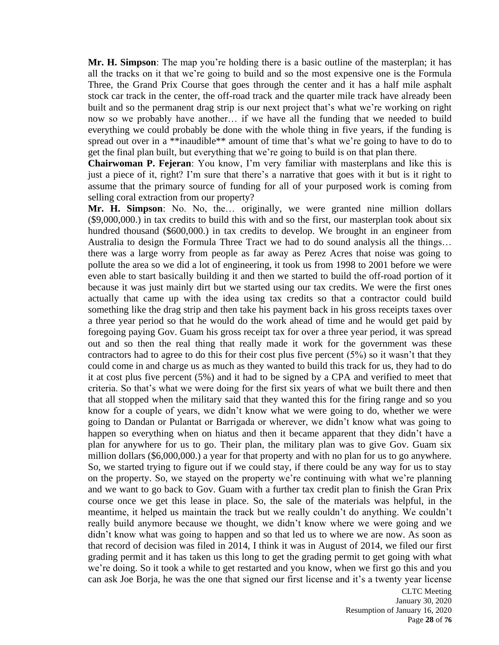**Mr. H. Simpson**: The map you're holding there is a basic outline of the masterplan; it has all the tracks on it that we're going to build and so the most expensive one is the Formula Three, the Grand Prix Course that goes through the center and it has a half mile asphalt stock car track in the center, the off-road track and the quarter mile track have already been built and so the permanent drag strip is our next project that's what we're working on right now so we probably have another… if we have all the funding that we needed to build everything we could probably be done with the whole thing in five years, if the funding is spread out over in a \*\*inaudible\*\* amount of time that's what we're going to have to do to get the final plan built, but everything that we're going to build is on that plan there.

**Chairwoman P. Fejeran**: You know, I'm very familiar with masterplans and like this is just a piece of it, right? I'm sure that there's a narrative that goes with it but is it right to assume that the primary source of funding for all of your purposed work is coming from selling coral extraction from our property?

**Mr. H. Simpson**: No. No, the… originally, we were granted nine million dollars (\$9,000,000.) in tax credits to build this with and so the first, our masterplan took about six hundred thousand (\$600,000.) in tax credits to develop. We brought in an engineer from Australia to design the Formula Three Tract we had to do sound analysis all the things… there was a large worry from people as far away as Perez Acres that noise was going to pollute the area so we did a lot of engineering, it took us from 1998 to 2001 before we were even able to start basically building it and then we started to build the off-road portion of it because it was just mainly dirt but we started using our tax credits. We were the first ones actually that came up with the idea using tax credits so that a contractor could build something like the drag strip and then take his payment back in his gross receipts taxes over a three year period so that he would do the work ahead of time and he would get paid by foregoing paying Gov. Guam his gross receipt tax for over a three year period, it was spread out and so then the real thing that really made it work for the government was these contractors had to agree to do this for their cost plus five percent  $(5%)$  so it wasn't that they could come in and charge us as much as they wanted to build this track for us, they had to do it at cost plus five percent (5%) and it had to be signed by a CPA and verified to meet that criteria. So that's what we were doing for the first six years of what we built there and then that all stopped when the military said that they wanted this for the firing range and so you know for a couple of years, we didn't know what we were going to do, whether we were going to Dandan or Pulantat or Barrigada or wherever, we didn't know what was going to happen so everything when on hiatus and then it became apparent that they didn't have a plan for anywhere for us to go. Their plan, the military plan was to give Gov. Guam six million dollars (\$6,000,000.) a year for that property and with no plan for us to go anywhere. So, we started trying to figure out if we could stay, if there could be any way for us to stay on the property. So, we stayed on the property we're continuing with what we're planning and we want to go back to Gov. Guam with a further tax credit plan to finish the Gran Prix course once we get this lease in place. So, the sale of the materials was helpful, in the meantime, it helped us maintain the track but we really couldn't do anything. We couldn't really build anymore because we thought, we didn't know where we were going and we didn't know what was going to happen and so that led us to where we are now. As soon as that record of decision was filed in 2014, I think it was in August of 2014, we filed our first grading permit and it has taken us this long to get the grading permit to get going with what we're doing. So it took a while to get restarted and you know, when we first go this and you can ask Joe Borja, he was the one that signed our first license and it's a twenty year license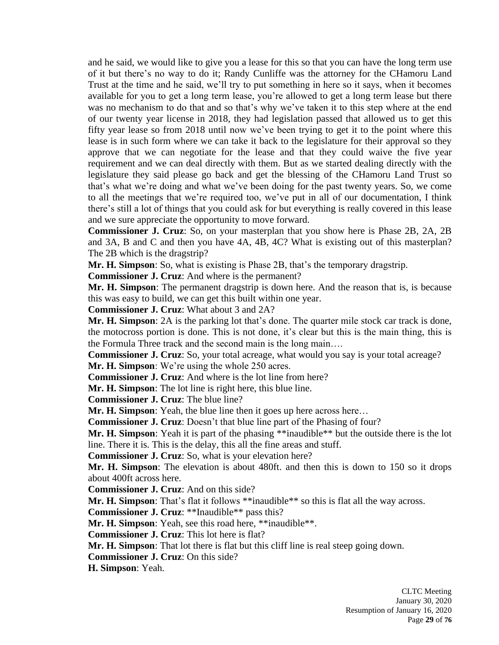and he said, we would like to give you a lease for this so that you can have the long term use of it but there's no way to do it; Randy Cunliffe was the attorney for the CHamoru Land Trust at the time and he said, we'll try to put something in here so it says, when it becomes available for you to get a long term lease, you're allowed to get a long term lease but there was no mechanism to do that and so that's why we've taken it to this step where at the end of our twenty year license in 2018, they had legislation passed that allowed us to get this fifty year lease so from 2018 until now we've been trying to get it to the point where this lease is in such form where we can take it back to the legislature for their approval so they approve that we can negotiate for the lease and that they could waive the five year requirement and we can deal directly with them. But as we started dealing directly with the legislature they said please go back and get the blessing of the CHamoru Land Trust so that's what we're doing and what we've been doing for the past twenty years. So, we come to all the meetings that we're required too, we've put in all of our documentation, I think there's still a lot of things that you could ask for but everything is really covered in this lease and we sure appreciate the opportunity to move forward.

**Commissioner J. Cruz**: So, on your masterplan that you show here is Phase 2B, 2A, 2B and 3A, B and C and then you have 4A, 4B, 4C? What is existing out of this masterplan? The 2B which is the dragstrip?

**Mr. H. Simpson**: So, what is existing is Phase 2B, that's the temporary dragstrip.

**Commissioner J. Cruz**: And where is the permanent?

**Mr. H. Simpson**: The permanent dragstrip is down here. And the reason that is, is because this was easy to build, we can get this built within one year.

**Commissioner J. Cruz**: What about 3 and 2A?

**Mr. H. Simpson**: 2A is the parking lot that's done. The quarter mile stock car track is done, the motocross portion is done. This is not done, it's clear but this is the main thing, this is the Formula Three track and the second main is the long main….

**Commissioner J. Cruz**: So, your total acreage, what would you say is your total acreage? **Mr. H. Simpson**: We're using the whole 250 acres.

**Commissioner J. Cruz**: And where is the lot line from here?

**Mr. H. Simpson**: The lot line is right here, this blue line.

**Commissioner J. Cruz**: The blue line?

**Mr. H. Simpson**: Yeah, the blue line then it goes up here across here…

**Commissioner J. Cruz**: Doesn't that blue line part of the Phasing of four?

**Mr. H. Simpson**: Yeah it is part of the phasing \*\*inaudible\*\* but the outside there is the lot line. There it is. This is the delay, this all the fine areas and stuff.

**Commissioner J. Cruz**: So, what is your elevation here?

**Mr. H. Simpson**: The elevation is about 480ft. and then this is down to 150 so it drops about 400ft across here.

**Commissioner J. Cruz**: And on this side?

**Mr. H. Simpson**: That's flat it follows \*\*inaudible\*\* so this is flat all the way across.

**Commissioner J. Cruz**: \*\*Inaudible\*\* pass this?

**Mr. H. Simpson**: Yeah, see this road here, \*\*inaudible\*\*.

**Commissioner J. Cruz**: This lot here is flat?

**Mr. H. Simpson**: That lot there is flat but this cliff line is real steep going down.

**Commissioner J. Cruz**: On this side?

**H. Simpson**: Yeah.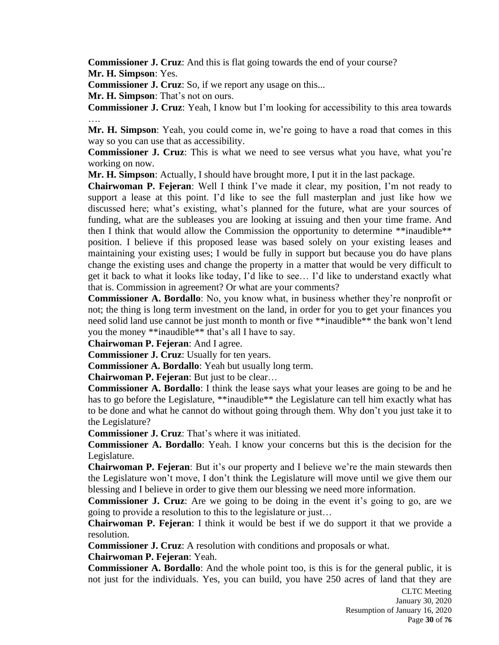**Commissioner J. Cruz**: And this is flat going towards the end of your course?

**Mr. H. Simpson**: Yes.

**Commissioner J. Cruz**: So, if we report any usage on this...

**Mr. H. Simpson**: That's not on ours.

**Commissioner J. Cruz**: Yeah, I know but I'm looking for accessibility to this area towards ….

**Mr. H. Simpson**: Yeah, you could come in, we're going to have a road that comes in this way so you can use that as accessibility.

**Commissioner J. Cruz**: This is what we need to see versus what you have, what you're working on now.

**Mr. H. Simpson**: Actually, I should have brought more, I put it in the last package.

**Chairwoman P. Fejeran**: Well I think I've made it clear, my position, I'm not ready to support a lease at this point. I'd like to see the full masterplan and just like how we discussed here; what's existing, what's planned for the future, what are your sources of funding, what are the subleases you are looking at issuing and then your time frame. And then I think that would allow the Commission the opportunity to determine \*\*inaudible\*\* position. I believe if this proposed lease was based solely on your existing leases and maintaining your existing uses; I would be fully in support but because you do have plans change the existing uses and change the property in a matter that would be very difficult to get it back to what it looks like today, I'd like to see… I'd like to understand exactly what that is. Commission in agreement? Or what are your comments?

**Commissioner A. Bordallo**: No, you know what, in business whether they're nonprofit or not; the thing is long term investment on the land, in order for you to get your finances you need solid land use cannot be just month to month or five \*\*inaudible\*\* the bank won't lend you the money \*\*inaudible\*\* that's all I have to say.

**Chairwoman P. Fejeran**: And I agree.

**Commissioner J. Cruz**: Usually for ten years.

**Commissioner A. Bordallo**: Yeah but usually long term.

**Chairwoman P. Fejeran**: But just to be clear…

**Commissioner A. Bordallo**: I think the lease says what your leases are going to be and he has to go before the Legislature, \*\*inaudible\*\* the Legislature can tell him exactly what has to be done and what he cannot do without going through them. Why don't you just take it to the Legislature?

**Commissioner J. Cruz**: That's where it was initiated.

**Commissioner A. Bordallo**: Yeah. I know your concerns but this is the decision for the Legislature.

**Chairwoman P. Fejeran**: But it's our property and I believe we're the main stewards then the Legislature won't move, I don't think the Legislature will move until we give them our blessing and I believe in order to give them our blessing we need more information.

**Commissioner J. Cruz**: Are we going to be doing in the event it's going to go, are we going to provide a resolution to this to the legislature or just…

**Chairwoman P. Fejeran**: I think it would be best if we do support it that we provide a resolution.

**Commissioner J. Cruz**: A resolution with conditions and proposals or what.

**Chairwoman P. Fejeran**: Yeah.

**Commissioner A. Bordallo**: And the whole point too, is this is for the general public, it is not just for the individuals. Yes, you can build, you have 250 acres of land that they are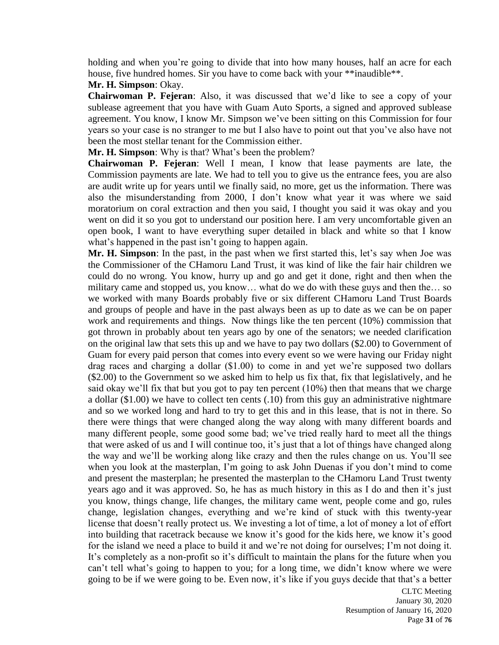holding and when you're going to divide that into how many houses, half an acre for each house, five hundred homes. Sir you have to come back with your \*\*inaudible\*\*.

# **Mr. H. Simpson**: Okay.

**Chairwoman P. Fejeran**: Also, it was discussed that we'd like to see a copy of your sublease agreement that you have with Guam Auto Sports, a signed and approved sublease agreement. You know, I know Mr. Simpson we've been sitting on this Commission for four years so your case is no stranger to me but I also have to point out that you've also have not been the most stellar tenant for the Commission either.

**Mr. H. Simpson**: Why is that? What's been the problem?

**Chairwoman P. Fejeran**: Well I mean, I know that lease payments are late, the Commission payments are late. We had to tell you to give us the entrance fees, you are also are audit write up for years until we finally said, no more, get us the information. There was also the misunderstanding from 2000, I don't know what year it was where we said moratorium on coral extraction and then you said, I thought you said it was okay and you went on did it so you got to understand our position here. I am very uncomfortable given an open book, I want to have everything super detailed in black and white so that I know what's happened in the past isn't going to happen again.

**Mr. H. Simpson**: In the past, in the past when we first started this, let's say when Joe was the Commissioner of the CHamoru Land Trust, it was kind of like the fair hair children we could do no wrong. You know, hurry up and go and get it done, right and then when the military came and stopped us, you know… what do we do with these guys and then the… so we worked with many Boards probably five or six different CHamoru Land Trust Boards and groups of people and have in the past always been as up to date as we can be on paper work and requirements and things. Now things like the ten percent (10%) commission that got thrown in probably about ten years ago by one of the senators; we needed clarification on the original law that sets this up and we have to pay two dollars (\$2.00) to Government of Guam for every paid person that comes into every event so we were having our Friday night drag races and charging a dollar (\$1.00) to come in and yet we're supposed two dollars (\$2.00) to the Government so we asked him to help us fix that, fix that legislatively, and he said okay we'll fix that but you got to pay ten percent (10%) then that means that we charge a dollar (\$1.00) we have to collect ten cents (.10) from this guy an administrative nightmare and so we worked long and hard to try to get this and in this lease, that is not in there. So there were things that were changed along the way along with many different boards and many different people, some good some bad; we've tried really hard to meet all the things that were asked of us and I will continue too, it's just that a lot of things have changed along the way and we'll be working along like crazy and then the rules change on us. You'll see when you look at the masterplan, I'm going to ask John Duenas if you don't mind to come and present the masterplan; he presented the masterplan to the CHamoru Land Trust twenty years ago and it was approved. So, he has as much history in this as I do and then it's just you know, things change, life changes, the military came went, people come and go, rules change, legislation changes, everything and we're kind of stuck with this twenty-year license that doesn't really protect us. We investing a lot of time, a lot of money a lot of effort into building that racetrack because we know it's good for the kids here, we know it's good for the island we need a place to build it and we're not doing for ourselves; I'm not doing it. It's completely as a non-profit so it's difficult to maintain the plans for the future when you can't tell what's going to happen to you; for a long time, we didn't know where we were going to be if we were going to be. Even now, it's like if you guys decide that that's a better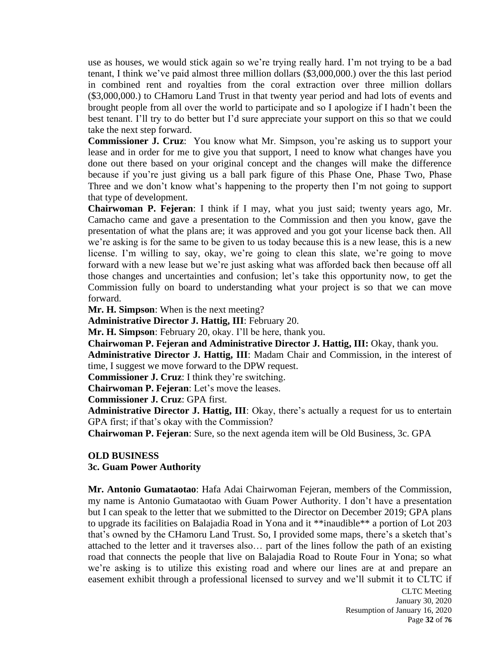use as houses, we would stick again so we're trying really hard. I'm not trying to be a bad tenant, I think we've paid almost three million dollars (\$3,000,000.) over the this last period in combined rent and royalties from the coral extraction over three million dollars (\$3,000,000.) to CHamoru Land Trust in that twenty year period and had lots of events and brought people from all over the world to participate and so I apologize if I hadn't been the best tenant. I'll try to do better but I'd sure appreciate your support on this so that we could take the next step forward.

**Commissioner J. Cruz**: You know what Mr. Simpson, you're asking us to support your lease and in order for me to give you that support, I need to know what changes have you done out there based on your original concept and the changes will make the difference because if you're just giving us a ball park figure of this Phase One, Phase Two, Phase Three and we don't know what's happening to the property then I'm not going to support that type of development.

**Chairwoman P. Fejeran**: I think if I may, what you just said; twenty years ago, Mr. Camacho came and gave a presentation to the Commission and then you know, gave the presentation of what the plans are; it was approved and you got your license back then. All we're asking is for the same to be given to us today because this is a new lease, this is a new license. I'm willing to say, okay, we're going to clean this slate, we're going to move forward with a new lease but we're just asking what was afforded back then because off all those changes and uncertainties and confusion; let's take this opportunity now, to get the Commission fully on board to understanding what your project is so that we can move forward.

**Mr. H. Simpson**: When is the next meeting?

**Administrative Director J. Hattig, III**: February 20.

**Mr. H. Simpson**: February 20, okay. I'll be here, thank you.

**Chairwoman P. Fejeran and Administrative Director J. Hattig, III:** Okay, thank you.

**Administrative Director J. Hattig, III**: Madam Chair and Commission, in the interest of time, I suggest we move forward to the DPW request.

**Commissioner J. Cruz**: I think they're switching.

**Chairwoman P. Fejeran**: Let's move the leases.

**Commissioner J. Cruz**: GPA first.

**Administrative Director J. Hattig, III**: Okay, there's actually a request for us to entertain GPA first; if that's okay with the Commission?

**Chairwoman P. Fejeran**: Sure, so the next agenda item will be Old Business, 3c. GPA

# **OLD BUSINESS**

**3c. Guam Power Authority**

**Mr. Antonio Gumataotao**: Hafa Adai Chairwoman Fejeran, members of the Commission, my name is Antonio Gumataotao with Guam Power Authority. I don't have a presentation but I can speak to the letter that we submitted to the Director on December 2019; GPA plans to upgrade its facilities on Balajadia Road in Yona and it \*\*inaudible\*\* a portion of Lot 203 that's owned by the CHamoru Land Trust. So, I provided some maps, there's a sketch that's attached to the letter and it traverses also… part of the lines follow the path of an existing road that connects the people that live on Balajadia Road to Route Four in Yona; so what we're asking is to utilize this existing road and where our lines are at and prepare an easement exhibit through a professional licensed to survey and we'll submit it to CLTC if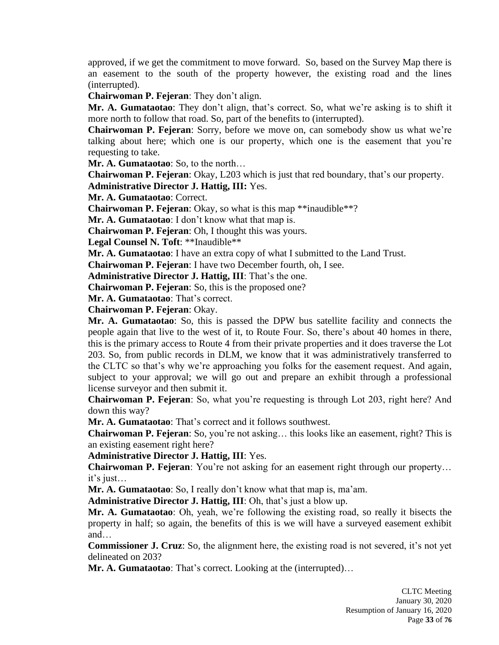approved, if we get the commitment to move forward. So, based on the Survey Map there is an easement to the south of the property however, the existing road and the lines (interrupted).

**Chairwoman P. Fejeran**: They don't align.

**Mr. A. Gumataotao**: They don't align, that's correct. So, what we're asking is to shift it more north to follow that road. So, part of the benefits to (interrupted).

**Chairwoman P. Fejeran**: Sorry, before we move on, can somebody show us what we're talking about here; which one is our property, which one is the easement that you're requesting to take.

**Mr. A. Gumataotao**: So, to the north…

**Chairwoman P. Fejeran**: Okay, L203 which is just that red boundary, that's our property.

**Administrative Director J. Hattig, III:** Yes.

**Mr. A. Gumataotao**: Correct.

**Chairwoman P. Fejeran**: Okay, so what is this map \*\*inaudible\*\*?

**Mr. A. Gumataotao**: I don't know what that map is.

**Chairwoman P. Fejeran**: Oh, I thought this was yours.

**Legal Counsel N. Toft**: \*\*Inaudible\*\*

**Mr. A. Gumataotao**: I have an extra copy of what I submitted to the Land Trust.

**Chairwoman P. Fejeran**: I have two December fourth, oh, I see.

**Administrative Director J. Hattig, III**: That's the one.

**Chairwoman P. Fejeran**: So, this is the proposed one?

**Mr. A. Gumataotao**: That's correct.

**Chairwoman P. Fejeran**: Okay.

**Mr. A. Gumataotao**: So, this is passed the DPW bus satellite facility and connects the people again that live to the west of it, to Route Four. So, there's about 40 homes in there, this is the primary access to Route 4 from their private properties and it does traverse the Lot 203. So, from public records in DLM, we know that it was administratively transferred to the CLTC so that's why we're approaching you folks for the easement request. And again, subject to your approval; we will go out and prepare an exhibit through a professional license surveyor and then submit it.

**Chairwoman P. Fejeran**: So, what you're requesting is through Lot 203, right here? And down this way?

**Mr. A. Gumataotao**: That's correct and it follows southwest.

**Chairwoman P. Fejeran**: So, you're not asking… this looks like an easement, right? This is an existing easement right here?

**Administrative Director J. Hattig, III**: Yes.

**Chairwoman P. Fejeran:** You're not asking for an easement right through our property... it's just…

**Mr. A. Gumataotao**: So, I really don't know what that map is, ma'am.

**Administrative Director J. Hattig, III**: Oh, that's just a blow up.

**Mr. A. Gumataotao**: Oh, yeah, we're following the existing road, so really it bisects the property in half; so again, the benefits of this is we will have a surveyed easement exhibit and…

**Commissioner J. Cruz**: So, the alignment here, the existing road is not severed, it's not yet delineated on 203?

**Mr. A. Gumataotao**: That's correct. Looking at the (interrupted)…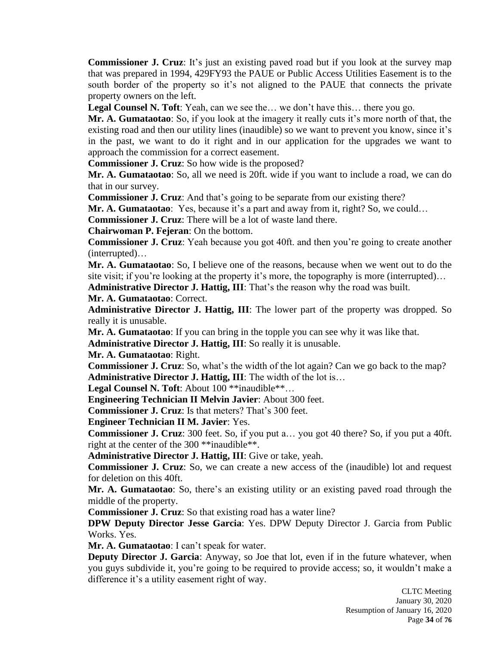**Commissioner J. Cruz**: It's just an existing paved road but if you look at the survey map that was prepared in 1994, 429FY93 the PAUE or Public Access Utilities Easement is to the south border of the property so it's not aligned to the PAUE that connects the private property owners on the left.

**Legal Counsel N. Toft**: Yeah, can we see the… we don't have this… there you go.

**Mr. A. Gumataotao**: So, if you look at the imagery it really cuts it's more north of that, the existing road and then our utility lines (inaudible) so we want to prevent you know, since it's in the past, we want to do it right and in our application for the upgrades we want to approach the commission for a correct easement.

**Commissioner J. Cruz**: So how wide is the proposed?

**Mr. A. Gumataotao**: So, all we need is 20ft. wide if you want to include a road, we can do that in our survey.

**Commissioner J. Cruz**: And that's going to be separate from our existing there?

**Mr. A. Gumataotao**: Yes, because it's a part and away from it, right? So, we could...

**Commissioner J. Cruz**: There will be a lot of waste land there.

**Chairwoman P. Fejeran**: On the bottom.

**Commissioner J. Cruz**: Yeah because you got 40ft. and then you're going to create another (interrupted)…

**Mr. A. Gumataotao**: So, I believe one of the reasons, because when we went out to do the site visit; if you're looking at the property it's more, the topography is more (interrupted)...

**Administrative Director J. Hattig, III**: That's the reason why the road was built.

**Mr. A. Gumataotao**: Correct.

**Administrative Director J. Hattig, III**: The lower part of the property was dropped. So really it is unusable.

**Mr. A. Gumataotao**: If you can bring in the topple you can see why it was like that.

**Administrative Director J. Hattig, III**: So really it is unusable.

**Mr. A. Gumataotao**: Right.

**Commissioner J. Cruz**: So, what's the width of the lot again? Can we go back to the map? **Administrative Director J. Hattig, III**: The width of the lot is…

Legal Counsel N. Toft: About 100 \*\*inaudible\*\*...

**Engineering Technician II Melvin Javier**: About 300 feet.

**Commissioner J. Cruz**: Is that meters? That's 300 feet.

**Engineer Technician II M. Javier**: Yes.

**Commissioner J. Cruz**: 300 feet. So, if you put a… you got 40 there? So, if you put a 40ft. right at the center of the 300 \*\*inaudible\*\*.

**Administrative Director J. Hattig, III**: Give or take, yeah.

**Commissioner J. Cruz**: So, we can create a new access of the (inaudible) lot and request for deletion on this 40ft.

**Mr. A. Gumataotao**: So, there's an existing utility or an existing paved road through the middle of the property.

**Commissioner J. Cruz**: So that existing road has a water line?

**DPW Deputy Director Jesse Garcia**: Yes. DPW Deputy Director J. Garcia from Public Works. Yes.

**Mr. A. Gumataotao**: I can't speak for water.

**Deputy Director J. Garcia**: Anyway, so Joe that lot, even if in the future whatever, when you guys subdivide it, you're going to be required to provide access; so, it wouldn't make a difference it's a utility easement right of way.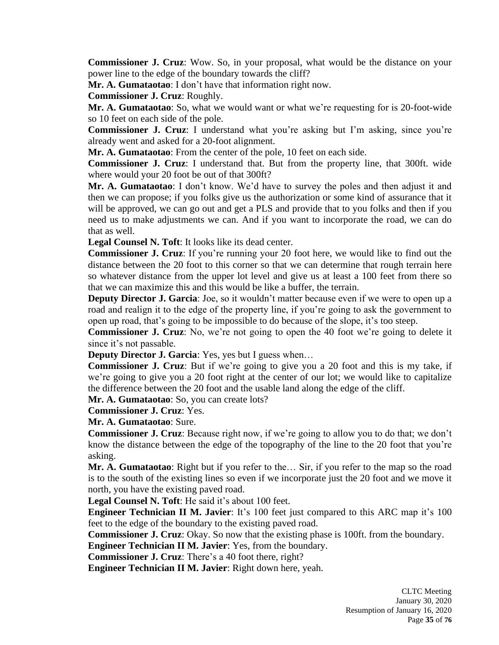**Commissioner J. Cruz**: Wow. So, in your proposal, what would be the distance on your power line to the edge of the boundary towards the cliff?

**Mr. A. Gumataotao**: I don't have that information right now.

**Commissioner J. Cruz**: Roughly.

**Mr. A. Gumataotao**: So, what we would want or what we're requesting for is 20-foot-wide so 10 feet on each side of the pole.

**Commissioner J. Cruz**: I understand what you're asking but I'm asking, since you're already went and asked for a 20-foot alignment.

**Mr. A. Gumataotao**: From the center of the pole, 10 feet on each side.

**Commissioner J. Cruz**: I understand that. But from the property line, that 300ft. wide where would your 20 foot be out of that 300ft?

**Mr. A. Gumataotao**: I don't know. We'd have to survey the poles and then adjust it and then we can propose; if you folks give us the authorization or some kind of assurance that it will be approved, we can go out and get a PLS and provide that to you folks and then if you need us to make adjustments we can. And if you want to incorporate the road, we can do that as well.

**Legal Counsel N. Toft**: It looks like its dead center.

**Commissioner J. Cruz**: If you're running your 20 foot here, we would like to find out the distance between the 20 foot to this corner so that we can determine that rough terrain here so whatever distance from the upper lot level and give us at least a 100 feet from there so that we can maximize this and this would be like a buffer, the terrain.

**Deputy Director J. Garcia**: Joe, so it wouldn't matter because even if we were to open up a road and realign it to the edge of the property line, if you're going to ask the government to open up road, that's going to be impossible to do because of the slope, it's too steep.

**Commissioner J. Cruz**: No, we're not going to open the 40 foot we're going to delete it since it's not passable.

**Deputy Director J. Garcia:** Yes, yes but I guess when...

**Commissioner J. Cruz**: But if we're going to give you a 20 foot and this is my take, if we're going to give you a 20 foot right at the center of our lot; we would like to capitalize the difference between the 20 foot and the usable land along the edge of the cliff.

**Mr. A. Gumataotao**: So, you can create lots?

**Commissioner J. Cruz**: Yes.

**Mr. A. Gumataotao**: Sure.

**Commissioner J. Cruz**: Because right now, if we're going to allow you to do that; we don't know the distance between the edge of the topography of the line to the 20 foot that you're asking.

**Mr. A. Gumataotao**: Right but if you refer to the… Sir, if you refer to the map so the road is to the south of the existing lines so even if we incorporate just the 20 foot and we move it north, you have the existing paved road.

**Legal Counsel N. Toft**: He said it's about 100 feet.

**Engineer Technician II M. Javier**: It's 100 feet just compared to this ARC map it's 100 feet to the edge of the boundary to the existing paved road.

**Commissioner J. Cruz**: Okay. So now that the existing phase is 100ft. from the boundary.

**Engineer Technician II M. Javier**: Yes, from the boundary.

**Commissioner J. Cruz**: There's a 40 foot there, right?

**Engineer Technician II M. Javier**: Right down here, yeah.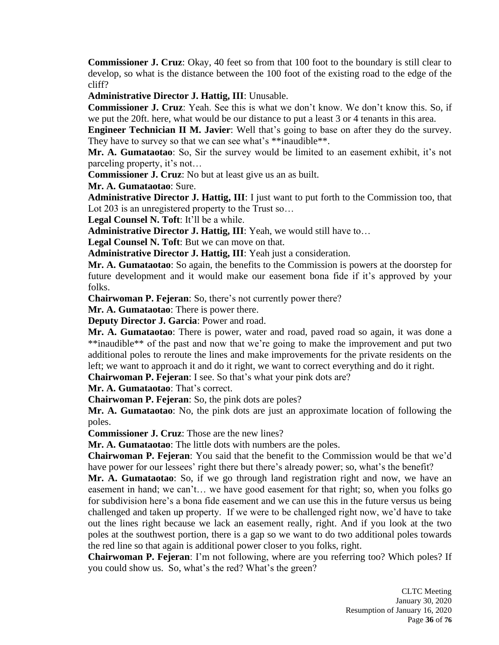**Commissioner J. Cruz**: Okay, 40 feet so from that 100 foot to the boundary is still clear to develop, so what is the distance between the 100 foot of the existing road to the edge of the cliff?

**Administrative Director J. Hattig, III**: Unusable.

**Commissioner J. Cruz**: Yeah. See this is what we don't know. We don't know this. So, if we put the 20ft. here, what would be our distance to put a least 3 or 4 tenants in this area.

**Engineer Technician II M. Javier**: Well that's going to base on after they do the survey. They have to survey so that we can see what's \*\*inaudible\*\*.

**Mr. A. Gumataotao**: So, Sir the survey would be limited to an easement exhibit, it's not parceling property, it's not…

**Commissioner J. Cruz**: No but at least give us an as built.

**Mr. A. Gumataotao**: Sure.

**Administrative Director J. Hattig, III**: I just want to put forth to the Commission too, that Lot 203 is an unregistered property to the Trust so...

**Legal Counsel N. Toft**: It'll be a while.

**Administrative Director J. Hattig, III**: Yeah, we would still have to…

**Legal Counsel N. Toft**: But we can move on that.

**Administrative Director J. Hattig, III**: Yeah just a consideration.

**Mr. A. Gumataotao**: So again, the benefits to the Commission is powers at the doorstep for future development and it would make our easement bona fide if it's approved by your folks.

**Chairwoman P. Fejeran**: So, there's not currently power there?

**Mr. A. Gumataotao**: There is power there.

**Deputy Director J. Garcia**: Power and road.

**Mr. A. Gumataotao**: There is power, water and road, paved road so again, it was done a \*\*inaudible\*\* of the past and now that we're going to make the improvement and put two additional poles to reroute the lines and make improvements for the private residents on the left; we want to approach it and do it right, we want to correct everything and do it right.

**Chairwoman P. Fejeran**: I see. So that's what your pink dots are?

**Mr. A. Gumataotao**: That's correct.

**Chairwoman P. Fejeran**: So, the pink dots are poles?

**Mr. A. Gumataotao**: No, the pink dots are just an approximate location of following the poles.

**Commissioner J. Cruz**: Those are the new lines?

**Mr. A. Gumataotao**: The little dots with numbers are the poles.

**Chairwoman P. Fejeran**: You said that the benefit to the Commission would be that we'd have power for our lessees' right there but there's already power; so, what's the benefit?

**Mr. A. Gumataotao**: So, if we go through land registration right and now, we have an easement in hand; we can't… we have good easement for that right; so, when you folks go for subdivision here's a bona fide easement and we can use this in the future versus us being challenged and taken up property. If we were to be challenged right now, we'd have to take out the lines right because we lack an easement really, right. And if you look at the two poles at the southwest portion, there is a gap so we want to do two additional poles towards the red line so that again is additional power closer to you folks, right.

**Chairwoman P. Fejeran**: I'm not following, where are you referring too? Which poles? If you could show us. So, what's the red? What's the green?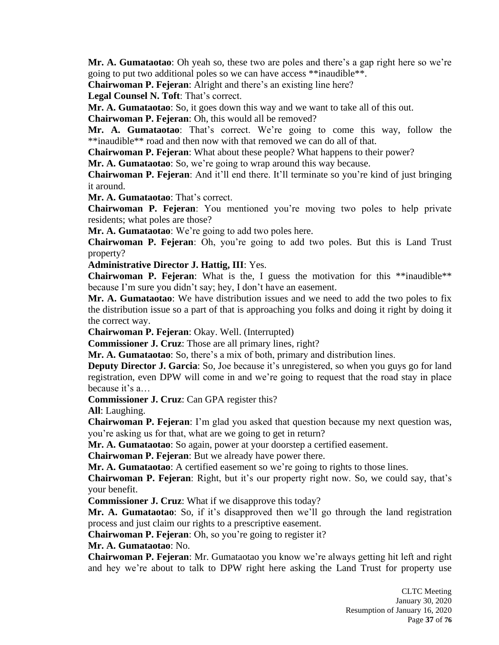**Mr. A. Gumataotao**: Oh yeah so, these two are poles and there's a gap right here so we're going to put two additional poles so we can have access \*\*inaudible\*\*.

**Chairwoman P. Fejeran**: Alright and there's an existing line here?

**Legal Counsel N. Toft**: That's correct.

**Mr. A. Gumataotao**: So, it goes down this way and we want to take all of this out.

**Chairwoman P. Fejeran**: Oh, this would all be removed?

**Mr. A. Gumataotao**: That's correct. We're going to come this way, follow the \*\*inaudible\*\* road and then now with that removed we can do all of that.

**Chairwoman P. Fejeran**: What about these people? What happens to their power?

**Mr. A. Gumataotao**: So, we're going to wrap around this way because.

**Chairwoman P. Fejeran**: And it'll end there. It'll terminate so you're kind of just bringing it around.

**Mr. A. Gumataotao**: That's correct.

**Chairwoman P. Fejeran**: You mentioned you're moving two poles to help private residents; what poles are those?

**Mr. A. Gumataotao**: We're going to add two poles here.

**Chairwoman P. Fejeran**: Oh, you're going to add two poles. But this is Land Trust property?

**Administrative Director J. Hattig, III**: Yes.

**Chairwoman P. Fejeran**: What is the, I guess the motivation for this \*\*inaudible\*\* because I'm sure you didn't say; hey, I don't have an easement.

**Mr. A. Gumataotao**: We have distribution issues and we need to add the two poles to fix the distribution issue so a part of that is approaching you folks and doing it right by doing it the correct way.

**Chairwoman P. Fejeran**: Okay. Well. (Interrupted)

**Commissioner J. Cruz**: Those are all primary lines, right?

**Mr. A. Gumataotao**: So, there's a mix of both, primary and distribution lines.

**Deputy Director J. Garcia:** So, Joe because it's unregistered, so when you guys go for land registration, even DPW will come in and we're going to request that the road stay in place because it's a…

**Commissioner J. Cruz**: Can GPA register this?

**All**: Laughing.

**Chairwoman P. Fejeran**: I'm glad you asked that question because my next question was, you're asking us for that, what are we going to get in return?

**Mr. A. Gumataotao**: So again, power at your doorstep a certified easement.

**Chairwoman P. Fejeran**: But we already have power there.

**Mr. A. Gumataotao**: A certified easement so we're going to rights to those lines.

**Chairwoman P. Fejeran**: Right, but it's our property right now. So, we could say, that's your benefit.

**Commissioner J. Cruz**: What if we disapprove this today?

**Mr. A. Gumataotao**: So, if it's disapproved then we'll go through the land registration process and just claim our rights to a prescriptive easement.

**Chairwoman P. Fejeran**: Oh, so you're going to register it?

**Mr. A. Gumataotao**: No.

**Chairwoman P. Fejeran**: Mr. Gumataotao you know we're always getting hit left and right and hey we're about to talk to DPW right here asking the Land Trust for property use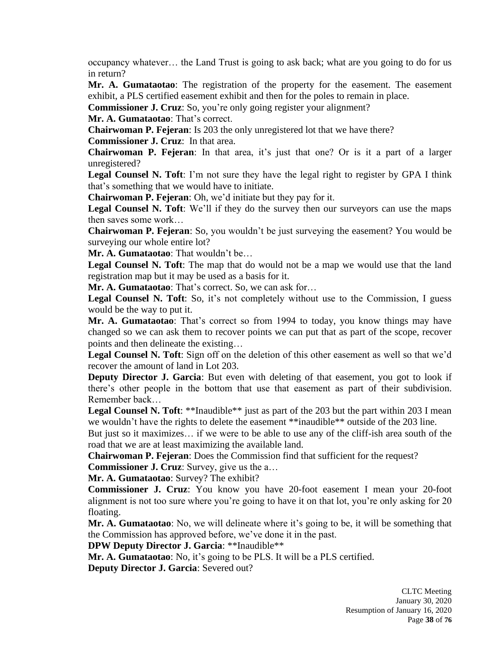occupancy whatever… the Land Trust is going to ask back; what are you going to do for us in return?

**Mr. A. Gumataotao**: The registration of the property for the easement. The easement exhibit, a PLS certified easement exhibit and then for the poles to remain in place.

**Commissioner J. Cruz**: So, you're only going register your alignment?

**Mr. A. Gumataotao**: That's correct.

**Chairwoman P. Fejeran**: Is 203 the only unregistered lot that we have there? **Commissioner J. Cruz**: In that area.

**Chairwoman P. Fejeran**: In that area, it's just that one? Or is it a part of a larger unregistered?

**Legal Counsel N. Toft**: I'm not sure they have the legal right to register by GPA I think that's something that we would have to initiate.

**Chairwoman P. Fejeran**: Oh, we'd initiate but they pay for it.

**Legal Counsel N. Toft**: We'll if they do the survey then our surveyors can use the maps then saves some work…

**Chairwoman P. Fejeran**: So, you wouldn't be just surveying the easement? You would be surveying our whole entire lot?

**Mr. A. Gumataotao**: That wouldn't be…

**Legal Counsel N. Toft**: The map that do would not be a map we would use that the land registration map but it may be used as a basis for it.

**Mr. A. Gumataotao**: That's correct. So, we can ask for…

**Legal Counsel N. Toft**: So, it's not completely without use to the Commission, I guess would be the way to put it.

**Mr. A. Gumataotao**: That's correct so from 1994 to today, you know things may have changed so we can ask them to recover points we can put that as part of the scope, recover points and then delineate the existing…

**Legal Counsel N. Toft**: Sign off on the deletion of this other easement as well so that we'd recover the amount of land in Lot 203.

**Deputy Director J. Garcia:** But even with deleting of that easement, you got to look if there's other people in the bottom that use that easement as part of their subdivision. Remember back…

**Legal Counsel N. Toft:** \*\*Inaudible\*\* just as part of the 203 but the part within 203 I mean we wouldn't have the rights to delete the easement \*\*inaudible\*\* outside of the 203 line.

But just so it maximizes… if we were to be able to use any of the cliff-ish area south of the road that we are at least maximizing the available land.

**Chairwoman P. Fejeran**: Does the Commission find that sufficient for the request?

**Commissioner J. Cruz**: Survey, give us the a…

**Mr. A. Gumataotao**: Survey? The exhibit?

**Commissioner J. Cruz**: You know you have 20-foot easement I mean your 20-foot alignment is not too sure where you're going to have it on that lot, you're only asking for 20 floating.

**Mr. A. Gumataotao**: No, we will delineate where it's going to be, it will be something that the Commission has approved before, we've done it in the past.

**DPW Deputy Director J. Garcia**: \*\*Inaudible\*\*

**Mr. A. Gumataotao**: No, it's going to be PLS. It will be a PLS certified.

**Deputy Director J. Garcia**: Severed out?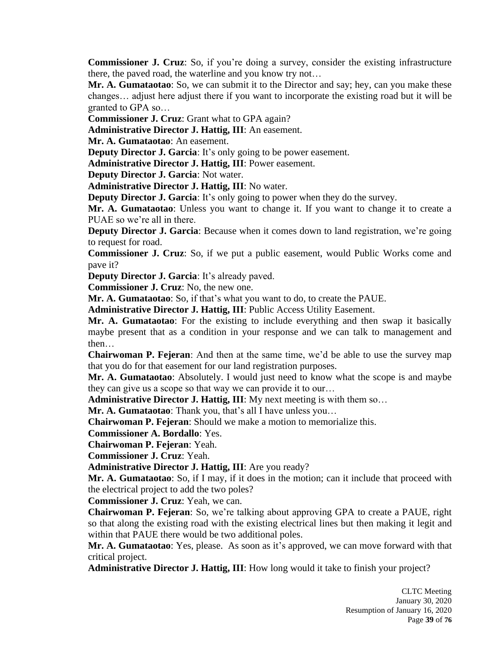**Commissioner J. Cruz**: So, if you're doing a survey, consider the existing infrastructure there, the paved road, the waterline and you know try not…

**Mr. A. Gumataotao**: So, we can submit it to the Director and say; hey, can you make these changes… adjust here adjust there if you want to incorporate the existing road but it will be granted to GPA so…

**Commissioner J. Cruz**: Grant what to GPA again?

**Administrative Director J. Hattig, III**: An easement.

**Mr. A. Gumataotao**: An easement.

**Deputy Director J. Garcia:** It's only going to be power easement.

**Administrative Director J. Hattig, III**: Power easement.

**Deputy Director J. Garcia**: Not water.

**Administrative Director J. Hattig, III**: No water.

**Deputy Director J. Garcia:** It's only going to power when they do the survey.

**Mr. A. Gumataotao**: Unless you want to change it. If you want to change it to create a PUAE so we're all in there.

**Deputy Director J. Garcia:** Because when it comes down to land registration, we're going to request for road.

**Commissioner J. Cruz**: So, if we put a public easement, would Public Works come and pave it?

**Deputy Director J. Garcia**: It's already paved.

**Commissioner J. Cruz**: No, the new one.

**Mr. A. Gumataotao**: So, if that's what you want to do, to create the PAUE.

**Administrative Director J. Hattig, III**: Public Access Utility Easement.

**Mr. A. Gumataotao**: For the existing to include everything and then swap it basically maybe present that as a condition in your response and we can talk to management and then…

**Chairwoman P. Fejeran**: And then at the same time, we'd be able to use the survey map that you do for that easement for our land registration purposes.

**Mr. A. Gumataotao**: Absolutely. I would just need to know what the scope is and maybe they can give us a scope so that way we can provide it to our…

**Administrative Director J. Hattig, III:** My next meeting is with them so...

**Mr. A. Gumataotao**: Thank you, that's all I have unless you…

**Chairwoman P. Fejeran**: Should we make a motion to memorialize this.

**Commissioner A. Bordallo**: Yes.

**Chairwoman P. Fejeran**: Yeah.

**Commissioner J. Cruz**: Yeah.

**Administrative Director J. Hattig, III**: Are you ready?

**Mr. A. Gumataotao**: So, if I may, if it does in the motion; can it include that proceed with the electrical project to add the two poles?

**Commissioner J. Cruz**: Yeah, we can.

**Chairwoman P. Fejeran**: So, we're talking about approving GPA to create a PAUE, right so that along the existing road with the existing electrical lines but then making it legit and within that PAUE there would be two additional poles.

**Mr. A. Gumataotao**: Yes, please. As soon as it's approved, we can move forward with that critical project.

**Administrative Director J. Hattig, III**: How long would it take to finish your project?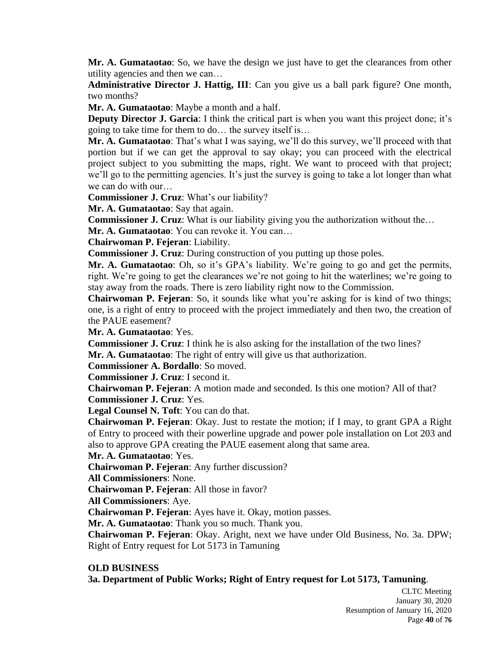**Mr. A. Gumataotao**: So, we have the design we just have to get the clearances from other utility agencies and then we can…

**Administrative Director J. Hattig, III**: Can you give us a ball park figure? One month, two months?

**Mr. A. Gumataotao**: Maybe a month and a half.

**Deputy Director J. Garcia:** I think the critical part is when you want this project done; it's going to take time for them to do… the survey itself is…

**Mr. A. Gumataotao**: That's what I was saying, we'll do this survey, we'll proceed with that portion but if we can get the approval to say okay; you can proceed with the electrical project subject to you submitting the maps, right. We want to proceed with that project; we'll go to the permitting agencies. It's just the survey is going to take a lot longer than what we can do with our…

**Commissioner J. Cruz**: What's our liability?

**Mr. A. Gumataotao**: Say that again.

**Commissioner J. Cruz**: What is our liability giving you the authorization without the...

**Mr. A. Gumataotao**: You can revoke it. You can…

**Chairwoman P. Fejeran**: Liability.

**Commissioner J. Cruz**: During construction of you putting up those poles.

**Mr. A. Gumataotao**: Oh, so it's GPA's liability. We're going to go and get the permits, right. We're going to get the clearances we're not going to hit the waterlines; we're going to stay away from the roads. There is zero liability right now to the Commission.

**Chairwoman P. Fejeran**: So, it sounds like what you're asking for is kind of two things; one, is a right of entry to proceed with the project immediately and then two, the creation of the PAUE easement?

**Mr. A. Gumataotao**: Yes.

**Commissioner J. Cruz**: I think he is also asking for the installation of the two lines?

**Mr. A. Gumataotao**: The right of entry will give us that authorization.

**Commissioner A. Bordallo**: So moved.

**Commissioner J. Cruz**: I second it.

**Chairwoman P. Fejeran**: A motion made and seconded. Is this one motion? All of that? **Commissioner J. Cruz**: Yes.

**Legal Counsel N. Toft**: You can do that.

**Chairwoman P. Fejeran**: Okay. Just to restate the motion; if I may, to grant GPA a Right of Entry to proceed with their powerline upgrade and power pole installation on Lot 203 and also to approve GPA creating the PAUE easement along that same area.

**Mr. A. Gumataotao**: Yes.

**Chairwoman P. Fejeran**: Any further discussion?

**All Commissioners**: None.

**Chairwoman P. Fejeran**: All those in favor?

**All Commissioners**: Aye.

**Chairwoman P. Fejeran**: Ayes have it. Okay, motion passes.

**Mr. A. Gumataotao**: Thank you so much. Thank you.

**Chairwoman P. Fejeran**: Okay. Aright, next we have under Old Business, No. 3a. DPW; Right of Entry request for Lot 5173 in Tamuning

# **OLD BUSINESS**

**3a. Department of Public Works; Right of Entry request for Lot 5173, Tamuning**.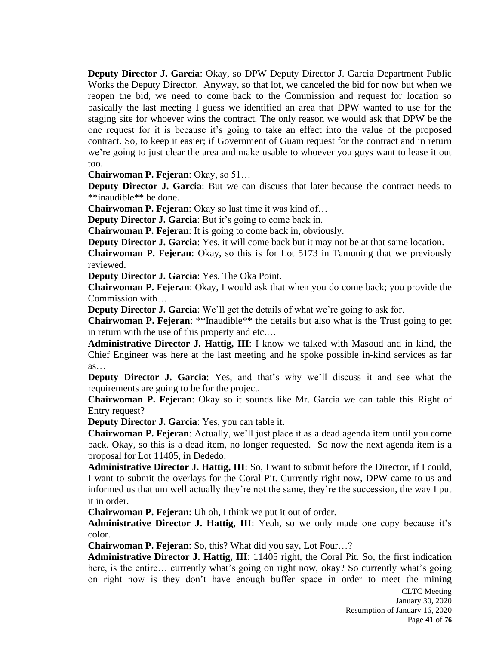**Deputy Director J. Garcia**: Okay, so DPW Deputy Director J. Garcia Department Public Works the Deputy Director. Anyway, so that lot, we canceled the bid for now but when we reopen the bid, we need to come back to the Commission and request for location so basically the last meeting I guess we identified an area that DPW wanted to use for the staging site for whoever wins the contract. The only reason we would ask that DPW be the one request for it is because it's going to take an effect into the value of the proposed contract. So, to keep it easier; if Government of Guam request for the contract and in return we're going to just clear the area and make usable to whoever you guys want to lease it out too.

**Chairwoman P. Fejeran**: Okay, so 51…

**Deputy Director J. Garcia:** But we can discuss that later because the contract needs to \*\*inaudible\*\* be done.

**Chairwoman P. Fejeran**: Okay so last time it was kind of…

**Deputy Director J. Garcia**: But it's going to come back in.

**Chairwoman P. Fejeran**: It is going to come back in, obviously.

**Deputy Director J. Garcia:** Yes, it will come back but it may not be at that same location.

**Chairwoman P. Fejeran**: Okay, so this is for Lot 5173 in Tamuning that we previously reviewed.

**Deputy Director J. Garcia**: Yes. The Oka Point.

**Chairwoman P. Fejeran**: Okay, I would ask that when you do come back; you provide the Commission with…

**Deputy Director J. Garcia**: We'll get the details of what we're going to ask for.

**Chairwoman P. Fejeran**: \*\*Inaudible\*\* the details but also what is the Trust going to get in return with the use of this property and etc.…

**Administrative Director J. Hattig, III**: I know we talked with Masoud and in kind, the Chief Engineer was here at the last meeting and he spoke possible in-kind services as far as…

**Deputy Director J. Garcia**: Yes, and that's why we'll discuss it and see what the requirements are going to be for the project.

**Chairwoman P. Fejeran**: Okay so it sounds like Mr. Garcia we can table this Right of Entry request?

**Deputy Director J. Garcia**: Yes, you can table it.

**Chairwoman P. Fejeran**: Actually, we'll just place it as a dead agenda item until you come back. Okay, so this is a dead item, no longer requested. So now the next agenda item is a proposal for Lot 11405, in Dededo.

**Administrative Director J. Hattig, III**: So, I want to submit before the Director, if I could, I want to submit the overlays for the Coral Pit. Currently right now, DPW came to us and informed us that um well actually they're not the same, they're the succession, the way I put it in order.

**Chairwoman P. Fejeran**: Uh oh, I think we put it out of order.

**Administrative Director J. Hattig, III**: Yeah, so we only made one copy because it's color.

**Chairwoman P. Fejeran**: So, this? What did you say, Lot Four…?

**Administrative Director J. Hattig, III**: 11405 right, the Coral Pit. So, the first indication here, is the entire… currently what's going on right now, okay? So currently what's going on right now is they don't have enough buffer space in order to meet the mining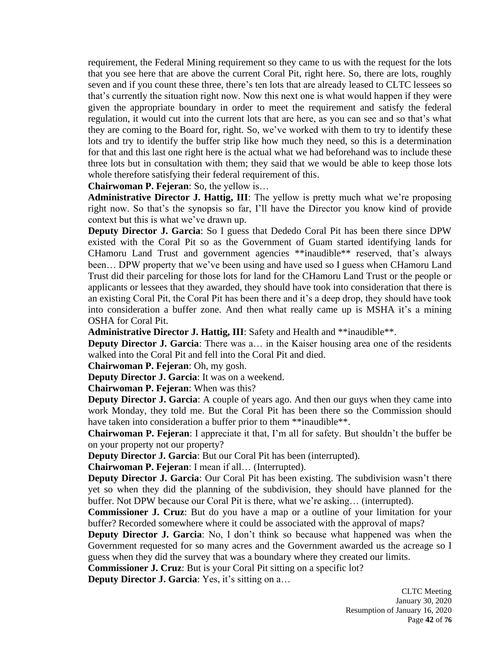requirement, the Federal Mining requirement so they came to us with the request for the lots that you see here that are above the current Coral Pit, right here. So, there are lots, roughly seven and if you count these three, there's ten lots that are already leased to CLTC lessees so that's currently the situation right now. Now this next one is what would happen if they were given the appropriate boundary in order to meet the requirement and satisfy the federal regulation, it would cut into the current lots that are here, as you can see and so that's what they are coming to the Board for, right. So, we've worked with them to try to identify these lots and try to identify the buffer strip like how much they need, so this is a determination for that and this last one right here is the actual what we had beforehand was to include these three lots but in consultation with them; they said that we would be able to keep those lots whole therefore satisfying their federal requirement of this.

**Chairwoman P. Fejeran**: So, the yellow is…

**Administrative Director J. Hattig, III**: The yellow is pretty much what we're proposing right now. So that's the synopsis so far, I'll have the Director you know kind of provide context but this is what we've drawn up.

**Deputy Director J. Garcia**: So I guess that Dededo Coral Pit has been there since DPW existed with the Coral Pit so as the Government of Guam started identifying lands for CHamoru Land Trust and government agencies \*\*inaudible\*\* reserved, that's always been… DPW property that we've been using and have used so I guess when CHamoru Land Trust did their parceling for those lots for land for the CHamoru Land Trust or the people or applicants or lessees that they awarded, they should have took into consideration that there is an existing Coral Pit, the Coral Pit has been there and it's a deep drop, they should have took into consideration a buffer zone. And then what really came up is MSHA it's a mining OSHA for Coral Pit.

**Administrative Director J. Hattig, III**: Safety and Health and \*\*inaudible\*\*.

**Deputy Director J. Garcia:** There was a... in the Kaiser housing area one of the residents walked into the Coral Pit and fell into the Coral Pit and died.

**Chairwoman P. Fejeran**: Oh, my gosh.

**Deputy Director J. Garcia**: It was on a weekend.

**Chairwoman P. Fejeran**: When was this?

**Deputy Director J. Garcia:** A couple of years ago. And then our guys when they came into work Monday, they told me. But the Coral Pit has been there so the Commission should have taken into consideration a buffer prior to them \*\*inaudible\*\*.

**Chairwoman P. Fejeran**: I appreciate it that, I'm all for safety. But shouldn't the buffer be on your property not our property?

**Deputy Director J. Garcia**: But our Coral Pit has been (interrupted).

**Chairwoman P. Fejeran**: I mean if all… (Interrupted).

**Deputy Director J. Garcia**: Our Coral Pit has been existing. The subdivision wasn't there yet so when they did the planning of the subdivision, they should have planned for the buffer. Not DPW because our Coral Pit is there, what we're asking… (interrupted).

**Commissioner J. Cruz**: But do you have a map or a outline of your limitation for your buffer? Recorded somewhere where it could be associated with the approval of maps?

**Deputy Director J. Garcia**: No, I don't think so because what happened was when the Government requested for so many acres and the Government awarded us the acreage so I guess when they did the survey that was a boundary where they created our limits.

**Commissioner J. Cruz**: But is your Coral Pit sitting on a specific lot?

**Deputy Director J. Garcia**: Yes, it's sitting on a…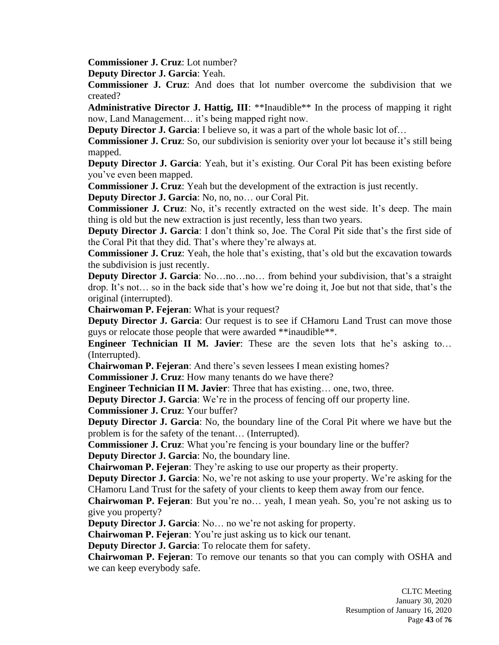**Commissioner J. Cruz**: Lot number?

**Deputy Director J. Garcia**: Yeah.

**Commissioner J. Cruz**: And does that lot number overcome the subdivision that we created?

**Administrative Director J. Hattig, III**: \*\*Inaudible\*\* In the process of mapping it right now, Land Management… it's being mapped right now.

**Deputy Director J. Garcia:** I believe so, it was a part of the whole basic lot of...

**Commissioner J. Cruz**: So, our subdivision is seniority over your lot because it's still being mapped.

**Deputy Director J. Garcia**: Yeah, but it's existing. Our Coral Pit has been existing before you've even been mapped.

**Commissioner J. Cruz**: Yeah but the development of the extraction is just recently.

**Deputy Director J. Garcia**: No, no, no… our Coral Pit.

**Commissioner J. Cruz**: No, it's recently extracted on the west side. It's deep. The main thing is old but the new extraction is just recently, less than two years.

**Deputy Director J. Garcia**: I don't think so, Joe. The Coral Pit side that's the first side of the Coral Pit that they did. That's where they're always at.

**Commissioner J. Cruz**: Yeah, the hole that's existing, that's old but the excavation towards the subdivision is just recently.

**Deputy Director J. Garcia**: No...no...no... from behind your subdivision, that's a straight drop. It's not… so in the back side that's how we're doing it, Joe but not that side, that's the original (interrupted).

**Chairwoman P. Fejeran**: What is your request?

**Deputy Director J. Garcia:** Our request is to see if CHamoru Land Trust can move those guys or relocate those people that were awarded \*\*inaudible\*\*.

**Engineer Technician II M. Javier**: These are the seven lots that he's asking to… (Interrupted).

**Chairwoman P. Fejeran**: And there's seven lessees I mean existing homes?

**Commissioner J. Cruz**: How many tenants do we have there?

**Engineer Technician II M. Javier**: Three that has existing… one, two, three.

**Deputy Director J. Garcia**: We're in the process of fencing off our property line.

**Commissioner J. Cruz**: Your buffer?

**Deputy Director J. Garcia**: No, the boundary line of the Coral Pit where we have but the problem is for the safety of the tenant… (Interrupted).

**Commissioner J. Cruz**: What you're fencing is your boundary line or the buffer? **Deputy Director J. Garcia**: No, the boundary line.

**Chairwoman P. Fejeran**: They're asking to use our property as their property.

**Deputy Director J. Garcia**: No, we're not asking to use your property. We're asking for the CHamoru Land Trust for the safety of your clients to keep them away from our fence.

**Chairwoman P. Fejeran**: But you're no… yeah, I mean yeah. So, you're not asking us to give you property?

**Deputy Director J. Garcia**: No… no we're not asking for property.

**Chairwoman P. Fejeran**: You're just asking us to kick our tenant.

**Deputy Director J. Garcia**: To relocate them for safety.

**Chairwoman P. Fejeran**: To remove our tenants so that you can comply with OSHA and we can keep everybody safe.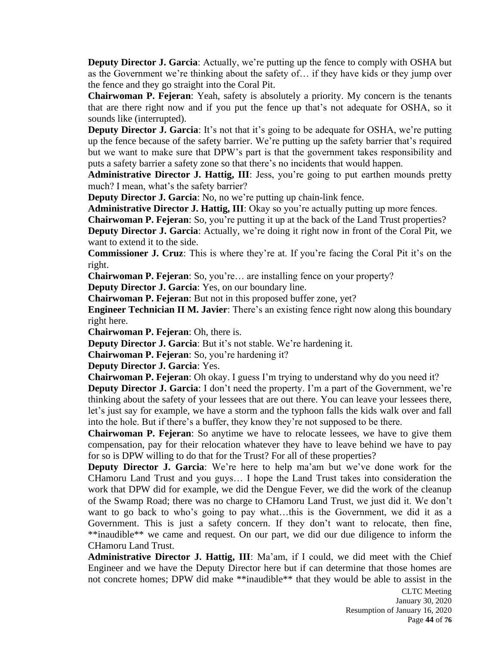**Deputy Director J. Garcia:** Actually, we're putting up the fence to comply with OSHA but as the Government we're thinking about the safety of… if they have kids or they jump over the fence and they go straight into the Coral Pit.

**Chairwoman P. Fejeran**: Yeah, safety is absolutely a priority. My concern is the tenants that are there right now and if you put the fence up that's not adequate for OSHA, so it sounds like (interrupted).

**Deputy Director J. Garcia**: It's not that it's going to be adequate for OSHA, we're putting up the fence because of the safety barrier. We're putting up the safety barrier that's required but we want to make sure that DPW's part is that the government takes responsibility and puts a safety barrier a safety zone so that there's no incidents that would happen.

Administrative Director J. Hattig, III: Jess, you're going to put earthen mounds pretty much? I mean, what's the safety barrier?

**Deputy Director J. Garcia**: No, no we're putting up chain-link fence.

Administrative Director J. Hattig, III: Okay so you're actually putting up more fences.

**Chairwoman P. Fejeran**: So, you're putting it up at the back of the Land Trust properties?

**Deputy Director J. Garcia:** Actually, we're doing it right now in front of the Coral Pit, we want to extend it to the side.

**Commissioner J. Cruz**: This is where they're at. If you're facing the Coral Pit it's on the right.

**Chairwoman P. Fejeran**: So, you're… are installing fence on your property?

**Deputy Director J. Garcia**: Yes, on our boundary line.

**Chairwoman P. Fejeran**: But not in this proposed buffer zone, yet?

**Engineer Technician II M. Javier**: There's an existing fence right now along this boundary right here.

**Chairwoman P. Fejeran**: Oh, there is.

**Deputy Director J. Garcia**: But it's not stable. We're hardening it.

**Chairwoman P. Fejeran**: So, you're hardening it?

**Deputy Director J. Garcia**: Yes.

**Chairwoman P. Fejeran**: Oh okay. I guess I'm trying to understand why do you need it?

**Deputy Director J. Garcia**: I don't need the property. I'm a part of the Government, we're thinking about the safety of your lessees that are out there. You can leave your lessees there, let's just say for example, we have a storm and the typhoon falls the kids walk over and fall into the hole. But if there's a buffer, they know they're not supposed to be there.

**Chairwoman P. Fejeran**: So anytime we have to relocate lessees, we have to give them compensation, pay for their relocation whatever they have to leave behind we have to pay for so is DPW willing to do that for the Trust? For all of these properties?

**Deputy Director J. Garcia**: We're here to help ma'am but we've done work for the CHamoru Land Trust and you guys… I hope the Land Trust takes into consideration the work that DPW did for example, we did the Dengue Fever, we did the work of the cleanup of the Swamp Road; there was no charge to CHamoru Land Trust, we just did it. We don't want to go back to who's going to pay what…this is the Government, we did it as a Government. This is just a safety concern. If they don't want to relocate, then fine, \*\*inaudible\*\* we came and request. On our part, we did our due diligence to inform the CHamoru Land Trust.

**Administrative Director J. Hattig, III**: Ma'am, if I could, we did meet with the Chief Engineer and we have the Deputy Director here but if can determine that those homes are not concrete homes; DPW did make \*\*inaudible\*\* that they would be able to assist in the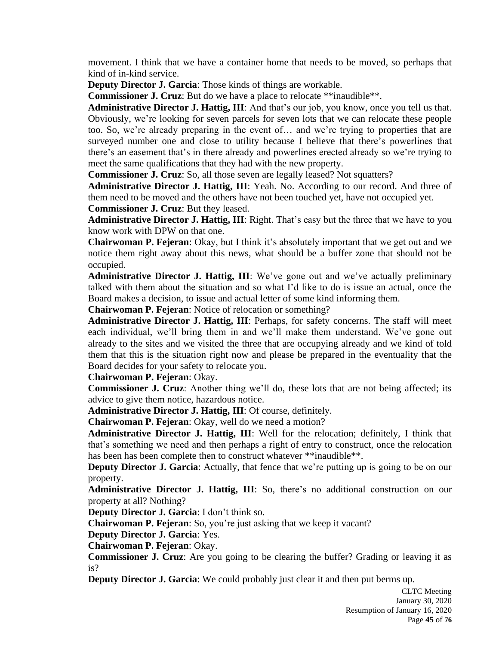movement. I think that we have a container home that needs to be moved, so perhaps that kind of in-kind service.

**Deputy Director J. Garcia**: Those kinds of things are workable.

**Commissioner J. Cruz**: But do we have a place to relocate \*\*inaudible\*\*.

**Administrative Director J. Hattig, III**: And that's our job, you know, once you tell us that. Obviously, we're looking for seven parcels for seven lots that we can relocate these people too. So, we're already preparing in the event of… and we're trying to properties that are surveyed number one and close to utility because I believe that there's powerlines that there's an easement that's in there already and powerlines erected already so we're trying to meet the same qualifications that they had with the new property.

**Commissioner J. Cruz**: So, all those seven are legally leased? Not squatters?

**Administrative Director J. Hattig, III**: Yeah. No. According to our record. And three of them need to be moved and the others have not been touched yet, have not occupied yet. **Commissioner J. Cruz**: But they leased.

**Administrative Director J. Hattig, III**: Right. That's easy but the three that we have to you know work with DPW on that one.

**Chairwoman P. Fejeran**: Okay, but I think it's absolutely important that we get out and we notice them right away about this news, what should be a buffer zone that should not be occupied.

**Administrative Director J. Hattig, III**: We've gone out and we've actually preliminary talked with them about the situation and so what I'd like to do is issue an actual, once the Board makes a decision, to issue and actual letter of some kind informing them.

**Chairwoman P. Fejeran**: Notice of relocation or something?

**Administrative Director J. Hattig, III**: Perhaps, for safety concerns. The staff will meet each individual, we'll bring them in and we'll make them understand. We've gone out already to the sites and we visited the three that are occupying already and we kind of told them that this is the situation right now and please be prepared in the eventuality that the Board decides for your safety to relocate you.

**Chairwoman P. Fejeran**: Okay.

**Commissioner J. Cruz**: Another thing we'll do, these lots that are not being affected; its advice to give them notice, hazardous notice.

**Administrative Director J. Hattig, III**: Of course, definitely.

**Chairwoman P. Fejeran**: Okay, well do we need a motion?

**Administrative Director J. Hattig, III**: Well for the relocation; definitely, I think that that's something we need and then perhaps a right of entry to construct, once the relocation has been has been complete then to construct whatever \*\*inaudible\*\*.

**Deputy Director J. Garcia:** Actually, that fence that we're putting up is going to be on our property.

**Administrative Director J. Hattig, III**: So, there's no additional construction on our property at all? Nothing?

**Deputy Director J. Garcia**: I don't think so.

**Chairwoman P. Fejeran**: So, you're just asking that we keep it vacant?

**Deputy Director J. Garcia**: Yes.

**Chairwoman P. Fejeran**: Okay.

**Commissioner J. Cruz**: Are you going to be clearing the buffer? Grading or leaving it as is?

**Deputy Director J. Garcia**: We could probably just clear it and then put berms up.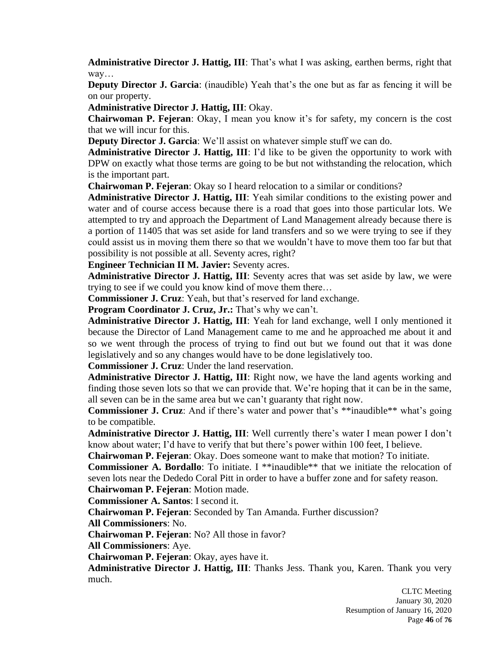**Administrative Director J. Hattig, III**: That's what I was asking, earthen berms, right that way…

**Deputy Director J. Garcia:** (inaudible) Yeah that's the one but as far as fencing it will be on our property.

**Administrative Director J. Hattig, III**: Okay.

**Chairwoman P. Fejeran**: Okay, I mean you know it's for safety, my concern is the cost that we will incur for this.

**Deputy Director J. Garcia**: We'll assist on whatever simple stuff we can do.

**Administrative Director J. Hattig, III**: I'd like to be given the opportunity to work with DPW on exactly what those terms are going to be but not withstanding the relocation, which is the important part.

**Chairwoman P. Fejeran**: Okay so I heard relocation to a similar or conditions?

**Administrative Director J. Hattig, III**: Yeah similar conditions to the existing power and water and of course access because there is a road that goes into those particular lots. We attempted to try and approach the Department of Land Management already because there is a portion of 11405 that was set aside for land transfers and so we were trying to see if they could assist us in moving them there so that we wouldn't have to move them too far but that possibility is not possible at all. Seventy acres, right?

**Engineer Technician II M. Javier:** Seventy acres.

**Administrative Director J. Hattig, III**: Seventy acres that was set aside by law, we were trying to see if we could you know kind of move them there…

**Commissioner J. Cruz**: Yeah, but that's reserved for land exchange.

**Program Coordinator J. Cruz, Jr.:** That's why we can't.

**Administrative Director J. Hattig, III**: Yeah for land exchange, well I only mentioned it because the Director of Land Management came to me and he approached me about it and so we went through the process of trying to find out but we found out that it was done legislatively and so any changes would have to be done legislatively too.

**Commissioner J. Cruz**: Under the land reservation.

**Administrative Director J. Hattig, III**: Right now, we have the land agents working and finding those seven lots so that we can provide that. We're hoping that it can be in the same, all seven can be in the same area but we can't guaranty that right now.

**Commissioner J. Cruz**: And if there's water and power that's \*\*inaudible\*\* what's going to be compatible.

**Administrative Director J. Hattig, III**: Well currently there's water I mean power I don't know about water; I'd have to verify that but there's power within 100 feet, I believe.

**Chairwoman P. Fejeran**: Okay. Does someone want to make that motion? To initiate.

**Commissioner A. Bordallo**: To initiate. I \*\*inaudible<sup>\*\*</sup> that we initiate the relocation of seven lots near the Dededo Coral Pitt in order to have a buffer zone and for safety reason.

**Chairwoman P. Fejeran**: Motion made.

**Commissioner A. Santos**: I second it.

**Chairwoman P. Fejeran**: Seconded by Tan Amanda. Further discussion?

**All Commissioners**: No.

**Chairwoman P. Fejeran**: No? All those in favor?

**All Commissioners**: Aye.

**Chairwoman P. Fejeran**: Okay, ayes have it.

**Administrative Director J. Hattig, III**: Thanks Jess. Thank you, Karen. Thank you very much.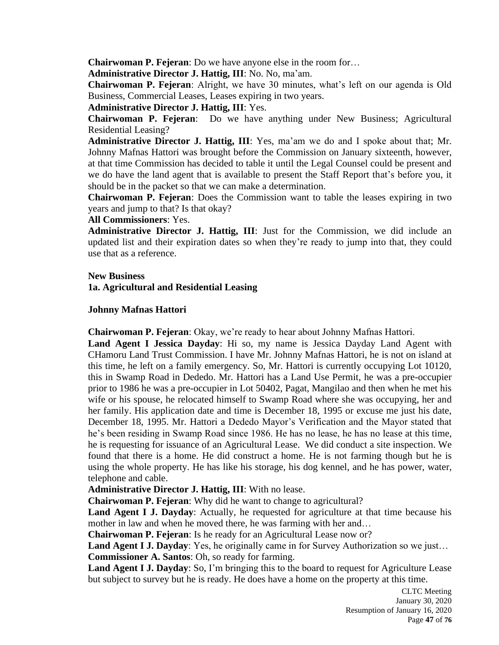**Chairwoman P. Fejeran**: Do we have anyone else in the room for…

**Administrative Director J. Hattig, III**: No. No, ma'am.

**Chairwoman P. Fejeran**: Alright, we have 30 minutes, what's left on our agenda is Old Business, Commercial Leases, Leases expiring in two years.

**Administrative Director J. Hattig, III**: Yes.

**Chairwoman P. Fejeran**: Do we have anything under New Business; Agricultural Residential Leasing?

**Administrative Director J. Hattig, III**: Yes, ma'am we do and I spoke about that; Mr. Johnny Mafnas Hattori was brought before the Commission on January sixteenth, however, at that time Commission has decided to table it until the Legal Counsel could be present and we do have the land agent that is available to present the Staff Report that's before you, it should be in the packet so that we can make a determination.

**Chairwoman P. Fejeran**: Does the Commission want to table the leases expiring in two years and jump to that? Is that okay?

**All Commissioners**: Yes.

**Administrative Director J. Hattig, III**: Just for the Commission, we did include an updated list and their expiration dates so when they're ready to jump into that, they could use that as a reference.

#### **New Business**

# **1a. Agricultural and Residential Leasing**

# **Johnny Mafnas Hattori**

**Chairwoman P. Fejeran**: Okay, we're ready to hear about Johnny Mafnas Hattori.

**Land Agent I Jessica Dayday**: Hi so, my name is Jessica Dayday Land Agent with CHamoru Land Trust Commission. I have Mr. Johnny Mafnas Hattori, he is not on island at this time, he left on a family emergency. So, Mr. Hattori is currently occupying Lot 10120, this in Swamp Road in Dededo. Mr. Hattori has a Land Use Permit, he was a pre-occupier prior to 1986 he was a pre-occupier in Lot 50402, Pagat, Mangilao and then when he met his wife or his spouse, he relocated himself to Swamp Road where she was occupying, her and her family. His application date and time is December 18, 1995 or excuse me just his date, December 18, 1995. Mr. Hattori a Dededo Mayor's Verification and the Mayor stated that he's been residing in Swamp Road since 1986. He has no lease, he has no lease at this time, he is requesting for issuance of an Agricultural Lease. We did conduct a site inspection. We found that there is a home. He did construct a home. He is not farming though but he is using the whole property. He has like his storage, his dog kennel, and he has power, water, telephone and cable.

**Administrative Director J. Hattig, III**: With no lease.

**Chairwoman P. Fejeran**: Why did he want to change to agricultural?

**Land Agent I J. Dayday**: Actually, he requested for agriculture at that time because his mother in law and when he moved there, he was farming with her and…

**Chairwoman P. Fejeran**: Is he ready for an Agricultural Lease now or?

**Land Agent I J. Dayday**: Yes, he originally came in for Survey Authorization so we just… **Commissioner A. Santos**: Oh, so ready for farming.

**Land Agent I J. Dayday**: So, I'm bringing this to the board to request for Agriculture Lease but subject to survey but he is ready. He does have a home on the property at this time.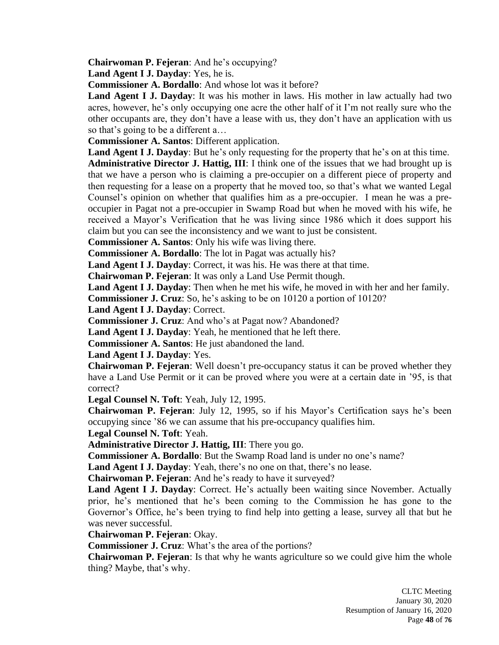**Chairwoman P. Fejeran**: And he's occupying?

**Land Agent I J. Dayday**: Yes, he is.

**Commissioner A. Bordallo**: And whose lot was it before?

**Land Agent I J. Dayday**: It was his mother in laws. His mother in law actually had two acres, however, he's only occupying one acre the other half of it I'm not really sure who the other occupants are, they don't have a lease with us, they don't have an application with us so that's going to be a different a…

**Commissioner A. Santos**: Different application.

**Land Agent I J. Dayday**: But he's only requesting for the property that he's on at this time. **Administrative Director J. Hattig, III**: I think one of the issues that we had brought up is that we have a person who is claiming a pre-occupier on a different piece of property and then requesting for a lease on a property that he moved too, so that's what we wanted Legal Counsel's opinion on whether that qualifies him as a pre-occupier. I mean he was a preoccupier in Pagat not a pre-occupier in Swamp Road but when he moved with his wife, he received a Mayor's Verification that he was living since 1986 which it does support his claim but you can see the inconsistency and we want to just be consistent.

**Commissioner A. Santos**: Only his wife was living there.

**Commissioner A. Bordallo**: The lot in Pagat was actually his?

**Land Agent I J. Dayday**: Correct, it was his. He was there at that time.

**Chairwoman P. Fejeran**: It was only a Land Use Permit though.

**Land Agent I J. Dayday**: Then when he met his wife, he moved in with her and her family.

**Commissioner J. Cruz**: So, he's asking to be on 10120 a portion of 10120?

**Land Agent I J. Dayday**: Correct.

**Commissioner J. Cruz**: And who's at Pagat now? Abandoned?

**Land Agent I J. Dayday**: Yeah, he mentioned that he left there.

**Commissioner A. Santos**: He just abandoned the land.

**Land Agent I J. Dayday**: Yes.

**Chairwoman P. Fejeran**: Well doesn't pre-occupancy status it can be proved whether they have a Land Use Permit or it can be proved where you were at a certain date in '95, is that correct?

**Legal Counsel N. Toft**: Yeah, July 12, 1995.

**Chairwoman P. Fejeran**: July 12, 1995, so if his Mayor's Certification says he's been occupying since '86 we can assume that his pre-occupancy qualifies him.

**Legal Counsel N. Toft**: Yeah.

**Administrative Director J. Hattig, III**: There you go.

**Commissioner A. Bordallo**: But the Swamp Road land is under no one's name?

**Land Agent I J. Dayday**: Yeah, there's no one on that, there's no lease.

**Chairwoman P. Fejeran**: And he's ready to have it surveyed?

**Land Agent I J. Dayday**: Correct. He's actually been waiting since November. Actually prior, he's mentioned that he's been coming to the Commission he has gone to the Governor's Office, he's been trying to find help into getting a lease, survey all that but he was never successful.

**Chairwoman P. Fejeran**: Okay.

**Commissioner J. Cruz**: What's the area of the portions?

**Chairwoman P. Fejeran:** Is that why he wants agriculture so we could give him the whole thing? Maybe, that's why.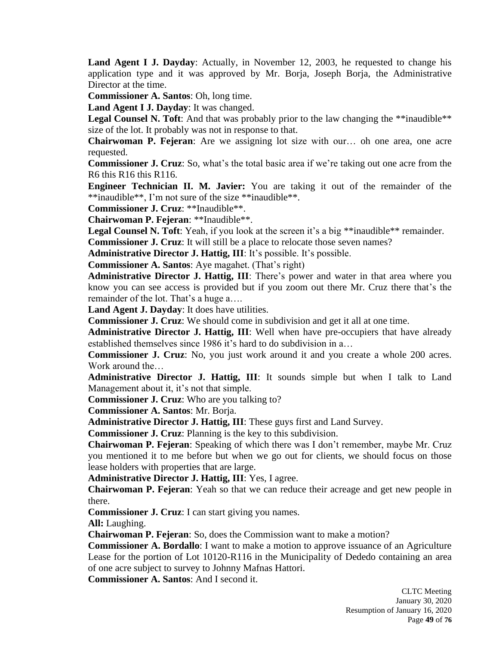**Land Agent I J. Dayday**: Actually, in November 12, 2003, he requested to change his application type and it was approved by Mr. Borja, Joseph Borja, the Administrative Director at the time.

**Commissioner A. Santos**: Oh, long time.

**Land Agent I J. Dayday**: It was changed.

**Legal Counsel N. Toft:** And that was probably prior to the law changing the \*\*inaudible\*\* size of the lot. It probably was not in response to that.

**Chairwoman P. Fejeran**: Are we assigning lot size with our… oh one area, one acre requested.

**Commissioner J. Cruz**: So, what's the total basic area if we're taking out one acre from the R6 this R16 this R116.

**Engineer Technician II. M. Javier:** You are taking it out of the remainder of the \*\*inaudible\*\*, I'm not sure of the size \*\*inaudible\*\*.

**Commissioner J. Cruz**: \*\*Inaudible\*\*.

**Chairwoman P. Fejeran**: \*\*Inaudible\*\*.

Legal Counsel N. Toft: Yeah, if you look at the screen it's a big \*\*inaudible\*\* remainder.

**Commissioner J. Cruz**: It will still be a place to relocate those seven names?

**Administrative Director J. Hattig, III**: It's possible. It's possible.

**Commissioner A. Santos**: Aye magahet. (That's right)

**Administrative Director J. Hattig, III**: There's power and water in that area where you know you can see access is provided but if you zoom out there Mr. Cruz there that's the remainder of the lot. That's a huge a….

**Land Agent J. Dayday**: It does have utilities.

**Commissioner J. Cruz**: We should come in subdivision and get it all at one time.

**Administrative Director J. Hattig, III**: Well when have pre-occupiers that have already established themselves since 1986 it's hard to do subdivision in a…

**Commissioner J. Cruz**: No, you just work around it and you create a whole 200 acres. Work around the…

**Administrative Director J. Hattig, III**: It sounds simple but when I talk to Land Management about it, it's not that simple.

**Commissioner J. Cruz**: Who are you talking to?

**Commissioner A. Santos**: Mr. Borja.

**Administrative Director J. Hattig, III**: These guys first and Land Survey.

**Commissioner J. Cruz**: Planning is the key to this subdivision.

**Chairwoman P. Fejeran**: Speaking of which there was I don't remember, maybe Mr. Cruz you mentioned it to me before but when we go out for clients, we should focus on those lease holders with properties that are large.

**Administrative Director J. Hattig, III**: Yes, I agree.

**Chairwoman P. Fejeran**: Yeah so that we can reduce their acreage and get new people in there.

**Commissioner J. Cruz**: I can start giving you names.

**All:** Laughing.

**Chairwoman P. Fejeran**: So, does the Commission want to make a motion?

**Commissioner A. Bordallo**: I want to make a motion to approve issuance of an Agriculture Lease for the portion of Lot 10120-R116 in the Municipality of Dededo containing an area of one acre subject to survey to Johnny Mafnas Hattori.

**Commissioner A. Santos**: And I second it.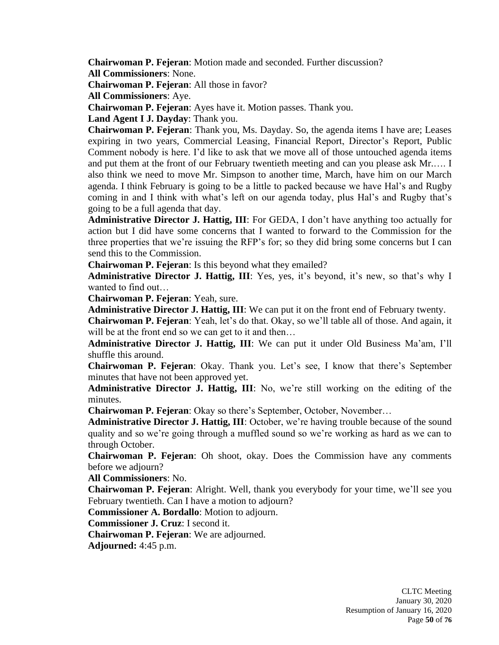**Chairwoman P. Fejeran**: Motion made and seconded. Further discussion?

**All Commissioners**: None.

**Chairwoman P. Fejeran**: All those in favor?

**All Commissioners**: Aye.

**Chairwoman P. Fejeran**: Ayes have it. Motion passes. Thank you.

**Land Agent I J. Dayday**: Thank you.

**Chairwoman P. Fejeran**: Thank you, Ms. Dayday. So, the agenda items I have are; Leases expiring in two years, Commercial Leasing, Financial Report, Director's Report, Public Comment nobody is here. I'd like to ask that we move all of those untouched agenda items and put them at the front of our February twentieth meeting and can you please ask Mr.…. I also think we need to move Mr. Simpson to another time, March, have him on our March agenda. I think February is going to be a little to packed because we have Hal's and Rugby coming in and I think with what's left on our agenda today, plus Hal's and Rugby that's going to be a full agenda that day.

**Administrative Director J. Hattig, III**: For GEDA, I don't have anything too actually for action but I did have some concerns that I wanted to forward to the Commission for the three properties that we're issuing the RFP's for; so they did bring some concerns but I can send this to the Commission.

**Chairwoman P. Fejeran**: Is this beyond what they emailed?

**Administrative Director J. Hattig, III**: Yes, yes, it's beyond, it's new, so that's why I wanted to find out…

**Chairwoman P. Fejeran**: Yeah, sure.

**Administrative Director J. Hattig, III**: We can put it on the front end of February twenty.

**Chairwoman P. Fejeran**: Yeah, let's do that. Okay, so we'll table all of those. And again, it will be at the front end so we can get to it and then…

**Administrative Director J. Hattig, III**: We can put it under Old Business Ma'am, I'll shuffle this around.

**Chairwoman P. Fejeran**: Okay. Thank you. Let's see, I know that there's September minutes that have not been approved yet.

**Administrative Director J. Hattig, III**: No, we're still working on the editing of the minutes.

**Chairwoman P. Fejeran**: Okay so there's September, October, November…

**Administrative Director J. Hattig, III**: October, we're having trouble because of the sound quality and so we're going through a muffled sound so we're working as hard as we can to through October.

**Chairwoman P. Fejeran**: Oh shoot, okay. Does the Commission have any comments before we adjourn?

**All Commissioners**: No.

**Chairwoman P. Fejeran**: Alright. Well, thank you everybody for your time, we'll see you February twentieth. Can I have a motion to adjourn?

**Commissioner A. Bordallo**: Motion to adjourn.

**Commissioner J. Cruz**: I second it.

**Chairwoman P. Fejeran**: We are adjourned.

**Adjourned:** 4:45 p.m.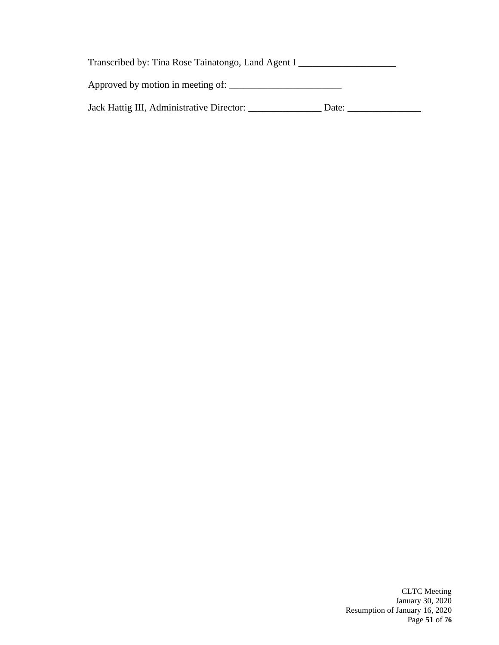| Transcribed by: Tina Rose Tainatongo, Land Agent I |       |  |
|----------------------------------------------------|-------|--|
| Approved by motion in meeting of:                  |       |  |
| Jack Hattig III, Administrative Director:          | Date: |  |

CLTC Meeting January 30, 2020 Resumption of January 16, 2020 Page **51** of **76**